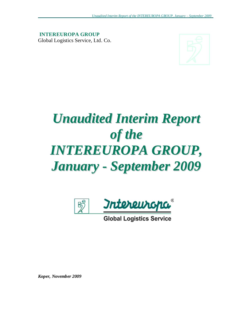**INTEREUROPA GROUP**  Global Logistics Service, Ltd. Co.



# *Unaudited Interim Report of the INTEREUROPA GROUP, January - September 2009*



**Global Logistics Service** 

*Koper, November 2009*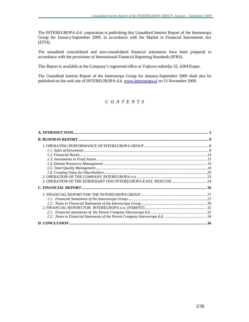The INTEREUROPA d.d. corporation is publishing this Unaudited Interim Report of the Intereuropa Group for January-September 2009, in accordance with the Market in Financial Instruments Act (ZTFI).

The unaudited consolidated and non-consolidated financial statements have been prepared in accordance with the provisions of International Financial Reporting Standards (IFRS).

This Report is available at the Company's registered office at Vojkovo nabrežje 32, 6504 Koper.

The Unaudited Interim Report of the Intereuropa Group for January-September 2009 shall also be published on the web site of INTEREUROPA d.d. [www.intereuropa.si](http://www.intereuropa.si) on 13 November 2009.

# *C O N T E N T S*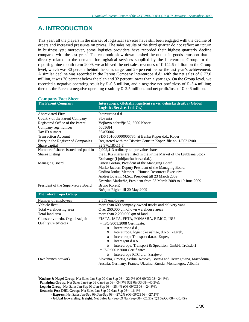# **A. INTRODUCTION**

This year, all the players in the market of logistical services have still been engaged with the decline of orders and increased pressures on prices. The sales results of the third quarter do not reflect an upturn in business yet; moreover, some logistics providers have recorded their highest quarterly decline compared with the last year.<sup>1</sup> The economic slow-down slashed the output in goods transport that is directly related to the demand for logistical services supplied by the Intereuropa Group. In the reporting nine-month term 2009, we achieved the net sales revenues of  $\epsilon$  144.6 million on the Group level, which was 30 percent behind the sales target and 29 percent below the last year's achievement. A similar decline was recorded in the Parent Company Intereuropa d.d.: with the net sales of  $\epsilon$ 77.0 million, it was 30 percent below the plan and 32 percent lower than a year ago. On the Group level, we recorded a negative operating result by  $\epsilon$ -0.5 million, and a negative net profit/loss of  $\epsilon$ -5.4 million; thereof, the Parent a negative operating result by  $\epsilon$ -2.5 million, and net profit/loss of  $\epsilon$ -0.6 million.

| <b>The Parent Company</b>           | Intereuropa, Globalni logistični servis, delniška družba (Global<br>Logistics Service, Ltd. Co.) |
|-------------------------------------|--------------------------------------------------------------------------------------------------|
| Abbreviated Firm                    | Intereuropa d.d.                                                                                 |
| Country of the Parent Company       | Slovenia                                                                                         |
| Registered Office of the Parent     | Vojkovo nabrežje 32, 6000 Koper                                                                  |
| Company reg. number                 | 5001684                                                                                          |
| Tax ID number                       | 56405006                                                                                         |
| <b>Transaction Account</b>          | SI56 101000000006785, at Banka Koper d.d., Koper                                                 |
| Entry in the Register of Companies  | Registered with the District Court in Koper, file no. 1/00212/00                                 |
| Share capital                       | 32.976.185,11 €                                                                                  |
| Number of shares issued and paid-in | 7,902,413 ordinary no-par value shares                                                           |
| Shares Listing                      | the IEKG shares are listed in the Prime Market of the Ljubljana Stock                            |
|                                     | Exchange (Ljubljanska borza d.d.).                                                               |
| Managing Board                      | Ernest Gortan, President of the Managing Board                                                   |
|                                     | Marko Jazbec, Deputy President of the Managing Board                                             |
|                                     | Ondina Jonke, Member - Human Resources Executive                                                 |
|                                     | Andrej Lovšin, M.Sc., President till 23 March 2009                                               |
|                                     | Zvezdan Markežič, President from 23 March 2009 to 10 June 2009                                   |
| President of the Supervisory Board  | Bruno Korelič                                                                                    |
|                                     | Boštjan Rigler till 20 May 2009                                                                  |
| <b>The Intereuropa Group</b>        |                                                                                                  |
| Number of employees                 | 2,559 employees                                                                                  |
| Vehicle fleet                       | more than 600 company-owned trucks and delivery vans                                             |
| Total warehousing area              | Over 260,000 qm of own warehouse areas                                                           |
| Total land area                     | more than 2,200,000 qm of land                                                                   |
| Članstvo v medn. Organizacijah      | FIATA, IATA, FETA, FONASBA, BIMCO, IRU                                                           |
| <b>Quality Certificates</b>         | · ISO 9001:2008 Certificate:                                                                     |
|                                     | Intereuropa d.d.,<br>$\circ$                                                                     |
|                                     | Intereuropa, logističke usluge, d.o.o., Zagreb,<br>$\Omega$                                      |
|                                     | Intereuropa Transport d.o.o., Koper,<br>$\circ$                                                  |
|                                     | Interagent d.o.o.,<br>$\circ$                                                                    |
|                                     | Intereuropa, Transport & Spedition, GmbH, Troisdorf<br>$\circ$                                   |
|                                     | $\bullet$ ISO 9001:2000 Certificate:                                                             |
|                                     | Intereuropa RTC d.d., Sarajevo<br>$\Omega$                                                       |
| Own branch network                  | Slovenia, Croatia, Serbia, Kosovo, Bosnia and Herzegovina, Macedonia,                            |
|                                     | Austria, Germany, France, Ukraine, Russia, Montenegro, Albania                                   |

#### **Company Fact Sheet**

-

<sup>1</sup>**Kuehne & Nagel Group**: Net Sales Jan-Sep 09 /Jan-Sep 08= -22,9% (Q3 09/Q3 08=-24,4%);

**Panalpina Group**: Net Sales Jan-Sep 09 /Jan-Sep 08= -34.7% (Q3 09/Q3 08=-40.3%);

**Logwin Group**: Net Sales Jan-Sep 09 /Jan-Sep 08= -25.4% (Q3 09/Q3 08= -24.8%);

- **Global forwarding, freight**: Net Sales Jan-Sep 09 /Jan-Sep 08= -25.5% (Q3 09/Q3 08= -30.4%)

**Deutsche Post DHL Group**: Net Sales Jan-Sep 09 /Jan-Sep 08= -16.4%

 <sup>-</sup> **Express**: Net Sales Jan-Sep 09 /Jan-Sep 08= -27.2% (Q3 09/Q3 08= -27.1%)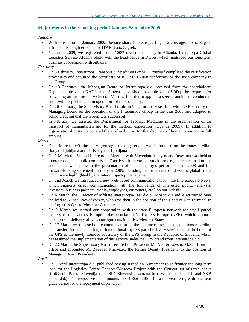## **Major events in the reporting period January-September 2009:**

*January* 

- With effect from 1 January 2009, the subsidiary Intereuropa, Logističke usluge, d.o.o., Zagreb affiliated its daughter company ITAR d.o.o. Zagreb.
- 7 January 2009, we registered a new 100%-owned subsidiary in Albania: Intereuropa Global Logistics Service Albania Shpk, with the head-office in Durres, which upgraded our long-term business cooperation with Albania.

*February* 

- On 5 February, Intereuropa Transport & Spedition GmbH, Troisdorf completed the certification procedures and acquired the certificate of ISO 9001:2008 conformity as the sixth company in the Group.
- On 13 February, the Managing Board of Intereuropa d.d. received from the shareholders Kapitalska družba ('KAD') and Slovenska odškodninska družba ('SOD') the request for convening an extraordinary General Meeting in order to appoint a special auditor to conduct an audit with respect to certain operations of the Company.
- On 26 February, the Supervisory Board dealt, in its 42 ordinary session, with the Report by the Managing Board on the operation of the Intereuropa Group in the year 2008 and adopted it, acknowledging that the Group was successful.
- In February we assisted the Department for Tropical Medicine in the organization of air transport of humanitarian aid for the medical expedition »Uganda 2009«. In addition to organizational costs we covered the air-freight cost for the shipment of humanitarian aid in full amount.

*March* 

- On 1 March 2009, the daily groupage trucking service was introduced on the routes: Milan (Italy) – Ljubljana and Paris, Lyon – Ljubljana.
- On 2 March the Second Intereuropa Meeting with Slovenian Analysts and Investors was held at Intereuropa. The public comprised 27 analysts from various stock-brokers, insurance institutions and banks, who came to the presentation of the Company's performance in 2008 and the forward-looking statement for the year 2009, including the measures to address the global crisis, which were highlighted by the Intereuropa top management.
- On 2nd March we introduced a new web-based communications tool the Intereuropa e-News, which supports direct communication with the full range of interested public (analysts, investors, business partners, media, employees, customers, etc.) on our website.
- On 6 March, the Director of affiliate Intereuropa-East d.o.o., Moscow, Esad Ajeti turned over the lead to Mihael Novodvorsky, who was then in the position of the Head of Car Terminal in the Logistics Centre Moscow/ Chechov.
- On 9 March we started our cooperation with the trans-European network for small parcel express carriers across Europe – the association NetExpress Europe (NEE), which supports door-to-door delivery of LTL consignments in all EU Member States.
- On 17 March we released the communication on the commencement of negotiations regarding the transfer, for consideration, of international express parcel delivery service under the brand of the UPS to the newly founded subsidiary of the UPS Group in the Republic of Slovenia which has assumed the implementation of this service under the UPS brand from Intereuropa d.d.
- On 23 March the Supervisory Board recalled the President Mr Andrej Lovšin, M.Sc., from his office and appointed Mr Zvezdan Markežič, the former Deputy President, to the position of Managing Board President.

*April* 

• On 7 April Intereuropa d.d. published having signed an Agreement to re-finance the long-term loan for the Logistics Centre Chechov/Moscow Project with the Consortium of three banks (UniCredit Banka Slovenija d.d., SID–Slovenska izvozna in razvojna banka, d.d. and SKB banka d.d.). The respective loan amounts to  $\epsilon$  100.6 million for a ten-year term, with one-year grace period for the repayment of principal.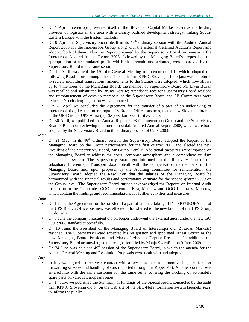- On 7 April Intereuropa presented itself in the Slovenian Capital Market Event as the leading provider of logistics in the area with a clearly outlined development strategy, linking South-Eastern Europe with the Eastern markets.
- On 9 April the Supervisory Board dealt in its  $45<sup>th</sup>$  ordinary session with the Audited Annual Report 2008 for the Intereuropa Group along with the external Certified Auditor's Report and adopted both of them. Also the Report prepared by the Supervisory Board on reviewing the Intereuropa Audited Annual Report 2008, followed by the Managing Board's proposal on the appropriation of accumulated profit, which shall remain undistributed, were approved by the Supervisory Board in the same session.
- On 10 April was held the  $19<sup>th</sup>$  the General Meeting of Intereuropa d.d., which adopted the following Resolutions, among others: The audit firm KPMG Slovenija, Ljubljana was appointed to review individual transactions; amendments to the Statute were adopted, which now allows up to 4 members of the Managing Board; the member of Supervisory Board Mr Ervin Bužan was recalled and substituted by Bruno Korelič; attendance fees for Supervisory Board sessions and reimbursement of costs to members of the Supervisory Board and SB Committees were reduced. No challenging action was announced.
- On 22 April we concluded the Agreement for the transfer of a part of an undertaking of Intereuropa d.d., i.e. the Intereuropa UPS Branch Office business, to the new Slovenian branch of the UPS Group: UPS Adria (S) Ekspres, kurirske storitve, d.o.o.
- On 30 April, we published the Annual Report 2008 for Intereuropa Group and the Supervisory Board's Report on reviewing the Intereuropa d.d. Audited Annual Report 2008, which were both adopted by the Supervisory Board in the ordinary session of 09.04.2009.

*May* 

• On 21 May, in its  $46<sup>th</sup>$  ordinary session the Supervisory Board adopted the Report of the Managing Board on the Group performance for the first quarter 2009 and elected the new President of the Supervisory Board, Mr Bruno Korelič. Additional measures were imposed on the Managing Board to address the costs, corporate atmosphere and a comprehensive rism management system. The Supervisory Board got informed on the Recovery Plan of the subsidiary Intereuropa Transport d.o.o., dealt with the compensation to members of the Managing Board and, upon proposal by the Auditing committee for remuneration, the Supervisory Board adopted the Resolution that the salaries of the Managing Board be harmonized with the financial results and performance estimate for the second quarter 2009 on the Group level. The Supervisory Board further acknowledged the Reports on Internal Audit Inspection in the Companies OOO Intereuropa-East, Moscow and OOO Intertrans, Moscow, which contain the findings and recommendations for further activities and measures.

*June* 

- On 1 June, the Agreement for the transfer of a part of an undertaking of INTEREUROPA d.d. of the UPS Branch Office business was effected – transferred to the new branch of the UPS Group in Slovenia.
- On 5 June the company Interagent d.o.o., Koper underwent the external audit under the new ISO 9001:2008 standard successfully.
- On 10 June, the President of the Managing Board of Intereuropa d.d. Zvezdan Markežič resigned. The Supervisory Board accepted his resignation and appointed Ernest Gortan as the new Managing Board President and Marko Jazbec as Deputy President. In addition, the Supervisory Board acknowledged the resignation filed by Manja Skernišak on 9 June 2009.
- On 24 June was held the  $49<sup>th</sup>$  session of the Supervisory Board, in which the agenda for the Annual General Meeting and Resolution Proposals were dealt with and adopted.

*July* 

- In July we signed a three-year contract with a key customer in automotive logistics for port forwarding services and handling of cars imported through the Koper Port. Another contract was entered into with the same customer for the same term, covering the trucking of automobile spare parts on various European routes.
- On 14 July, we published the Summary of Findings of the Special Audit, conducted by the audit firm KPMG Slovenija d.o.o., on the web site of the SEO-Net information system (seonet.ljse.si) to inform the public.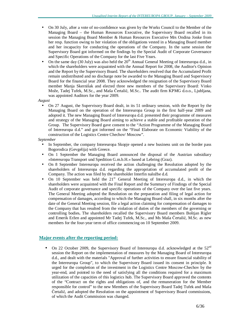- On 30 July, after a vote of no-confidence was given by the Works Council to the Member of the Managing Board – the Human Resources Executive, the Supervisory Board recalled in its session the Managing Board Member & Human Resources Executive Mrs Ondina Jonke from her resp. function owing to her violation of the obligations vested in a Managing Board member and her incapacity for conducting the operations of the Company. In the same session the Supervisory Board got informed on the findings by the Special Audit of Corporate Governance and Specific Operations of the Company for the last Five Years.
- On the same day (30 July) was also held the  $20<sup>th</sup>$  Annual General Meeting of Intereuropa d.d., in which the shareholders were acquainted with the Annual Report for 2008, the Auditor's Opinion and the Report by the Supervisory Board. The shareholders resolved that the Accumulated Profit remain undistributed and no discharge note be awarded to the Managing Board and Supervisory Board for the financial year 2008. They acknowledged the resignation of the Supervisory Board member Manja Skernišak and elected three new members of the Supervisory Board: Vinko Može, Tadej Tufek, M.Sc., and Maša Čertalič, M.Sc.. The audit firm KPMG d.o.o., Ljubljana, was appointed Auditors for the year 2009.

*August* 

• On 27 August, the Supervisory Board dealt, in its 51 ordinary session, with the Report by the Managing Board on the operation of the Intereuropa Group in the first half-year 2009 and adopted it. The new Managing Board of Intereuropa d.d. presented their programme of measures and strategy of the Managing Board aiming to achieve a stable and profitable operation of the Group. The Supervisory Board gave consent to the "Action Programme of the Managing Board of Intereuropa d.d." and got informed on the "Final Elaborate on Economic Viability of the construction of the Logistics Centre Chechov/ Moscow".

*September* 

- In September, the company Intereuropa Skopje opened a new business unit on the border pass Bogorodica (Gevgelija) with Greece.
- On 1 September the Managing Board announced the disposal of the Austrian subsidiary »Intereuropa Transport und Spedition G.m.b.H.« based at Lebring (Graz).
- On 8 September Intereuropa received the action challenging the Resolution adopted by the shareholders of Intereuropa d.d. regarding the appropriation of accumulated profit of the Company. The action was filed by the shareholder Interfin naložbe d.d.
- On 10 September was held the  $21<sup>st</sup>$  General Meeting of Intereuropa d.d., in which the shareholders were acquainted with the Final Report and the Summary of Findings of the Special Audit of corporate governance and specific operations of the Company over the last five years. The General Meeting adopted the Resolution on the preparation and filing of legal action for compensation of damages, according to which the Managing Board shall, in six months after the date of the General Meeting session, file a legal action claiming for compensation of damages to the Company that has resulted from the violation of duties of the members of the governing or controlling bodies**.** The shareholders recalled the Supervisory Board members Boštjan Rigler and Emerik Eržen and appointed Mr Tadej Tufek, M.Sc., and Ms Maša Čertalič, M.Sc. as new members for the four-year term of office commencing on 10 September 2009.

## **Major events after the reporting period:**

On 22 October 2009, the Supervisory Board of Intereuropa d.d. acknowledged at the 52<sup>nd</sup> session the Report on the implementation of measures by the Managing Board of Intereuropa d.d., and dealt with the materials ''Approval of further activities to ensure financial stability of the Intereuropa Group", to which the Supervisory Board issued its consent in principle. It urged for the completion of the investment in the Logistics Centre Moscow-Chechov by the year-end, and pointed to the need of satisfying all the conditions required for a maximum utilization of the capacities of this logistics hub. The Supervisory Board approved the contents of the "Contract on the rights and obligations of, and the remuneration for the Member responsible for control" to the new Members of the Supervisory Board Tadej Tufek and Maša Čertalič, and adopted the Resolution on the appointment of Supervisory Board commissions, of which the Audit Commission was changed.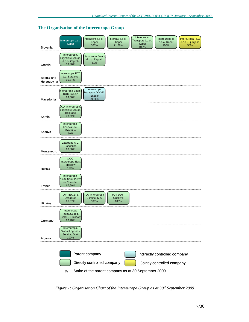## **The Organisation of the Intereuropa Group**



*Figure 1: Organisation Chart of the Intereuropa Group as at 30th September 2009*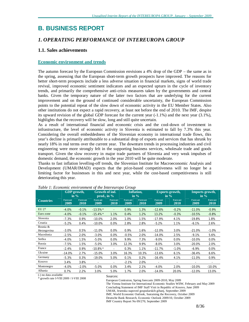# **B. BUSINESS REPORT**

# *1. OPERATING PERFORMANCE OF INTEREUROPA GROUP*

## **1.1. Sales achievements**

#### **Economic environment and trends**

The autumn forecast by the European Commission envisions a 4% drop of the GDP – the same as in the spring, assessing that the European short-term growth prospects have improved. The reasons for better short-term prospects include a less adverse situation in financial markets, signs of world trade revival, improved economic sentiment indicators and an expected upturn in the cycle of inventory trends, and primarily the comprehensive anti-crisis measures taken by the governments and central banks. Given the temporary nature of the latter two factors that are underlying for the current improvement and on the ground of continued considerable uncertainty, the European Commission points to the potential repeat of the slow down of economic activity in the EU Member States. Also other institutions do not expect a rapid recovery, at least not before the end of 2010. The IMF, despite its upward revision of the global GDP forecast for the current year  $(-1.1\%)$  and the next year  $(3.1\%)$ , highlights that the recovery will be slow, long and still quite uncertain.

As a result of international financial and economic crisis and the cool-down of investment in infrastructure, the level of economic activity in Slovenia is estimated to fall by 7.3% this year. Considering the overall embeddedness of the Slovenian economy in international trade flows, this year's decline is primarily attributable to a substantial drop of exports and services that has shrunk by nearly 18% in real terms over the current year. The downturn trends in processing industries and civil engineering were more strongly felt in the supporting business services, wholesale trade and goods transport. Given the slow recovery in major trade partners of Slovenia and very weak impulses of domestic demand, the economic growth in the year 2010 will be quite moderate.

Thanks to fast inflation levelling-off trends, the Slovenian Institute for Macroeconomic Analysis and Development (UMAR/IMAD) expects that the price-based competitiveness will no longer be a limiting factor for businesses in this and next year, while the cost-based competitiveness is still deteriorating this year.

|                         | <b>GDP</b> growth,<br>in $\%$ |                  | Growth of ind.<br>prod., in $\%$ |                          |                         | Inflation.<br>in $\%$          |                  | <b>Exports growth,</b><br>in $\%$ | Imports growth,<br>in $\%$ |                  |
|-------------------------|-------------------------------|------------------|----------------------------------|--------------------------|-------------------------|--------------------------------|------------------|-----------------------------------|----------------------------|------------------|
| <b>Countries</b>        | <b>Forecast</b><br>2009       | Forecast<br>2010 | <b>Forecast</b><br>2009          | <b>Forecast</b><br>2010  | <b>Forecast</b><br>2009 | <b>Forecast</b><br><b>2010</b> | Forecast<br>2009 | <b>Forecast</b><br>2010           | <b>Forecast</b><br>2009    | Forecast<br>2010 |
| <b>EU 27</b>            | $-4.0%$                       | $-0.1%$          | $-13.5%$ *                       |                          | 0.9%                    | 1.3%                           | $-12.6%$         | $-0.2%$                           | $-11.0%$                   | $-0.9%$          |
| Euro zone               | $-4.0%$                       | $-0.1%$          | $-15.4\%$ *                      | 1.1%                     | 0.4%                    | 1.2%                           | 13.2%            | $-0.3%$                           | $-10.5%$                   | $-0.8%$          |
| Slovenia                | $-7.3%$                       | 0.9%             | $-10.0%$                         | 2.0%                     | 1.0%                    | 1.5%                           | $-17.9%$         | 4.1%                              | $-19.8%$                   | 1.8%             |
| Croatia                 | $-5.2%$                       | 0.4%             | $-10.0%$                         | 0.0%                     | 2.8%                    | 2.8%                           | $-5.2%$          | 1.1%                              | $-6.1%$                    | 2.6%             |
| Bosnia &<br>Herzegovina | $-3.0%$                       | 0.5%             | $-11.0%$                         | 0.0%                     | 0.9%                    | 1.6%                           | $-12.0%$         | 3.0%                              | $-21.0%$                   | $-1.0%$          |
| Macedonia               | $-2.5%$                       | 2.0%             | $-3.0%$                          | 0.0%                     | $-0.5%$                 | 2.0%                           | $-14.0%$         | 2.5%                              | $-9.1%$                    | 5.6%             |
| Serbia                  | $-4.0%$                       | 1.5%             | $-5.0%$                          | 0.0%                     | 9.9%                    | 7.3%                           | $-9.0\%$         | 0.0%                              | $-10.0\%$                  | $0.0\%$          |
| Russia                  | $-7.5%$                       | 1.5%             | $-5.0\%$                         | 3.0%                     | 12.3%                   | 9.9%                           | $-8.0\%$         | 3.0%                              | $-20.0\%$                  | 2.0%             |
| France                  | $-2.4%$                       | 0.9%             | $-10.8\%$ *                      | $\overline{\phantom{0}}$ | 0.3%                    | 1.1%                           | $-11.7%$         | $-1.0%$                           | $-6.9%$                    | $0.0\%$          |
| Ukraine                 | $-14.0%$                      | 2.7%             | $-15.0%$                         | 3.0%                     | 16.3%                   | 10.3%                          | $-13.6%$         | 6.1%                              | $-36.4%$                   | 6.6%             |
| Germany                 | $-5.3%$                       | 0.3%             | $-19.0\%$                        | 5.0%                     | 0.1%                    | 0.2%                           | $-16.4%$         | 4.1%                              | $-11.0%$                   | 0.9%             |
| Kosovo                  | 3.4%                          | 3.8%             |                                  |                          | $-2.1%$                 | 2.0%                           |                  |                                   |                            |                  |
| Montenegro              | $-4.0%$                       | $-2.0%$          | $-5.0%$                          | 0.0%                     | 3.4%                    | 2.1%                           | $-4.0%$          | 2.0%                              | $-10.0\%$                  | $-10.0%$         |
| Albania                 | 0.7%                          | 2.2%             | 3.0%                             | 5.0%                     | 1.7%                    | 2.0%                           | $-14.0%$         | 20.0%                             | $-12.0%$                   | 13.0%            |

| Table 1: Economic environment of the Intereuropa Group |  |  |
|--------------------------------------------------------|--|--|
|                                                        |  |  |

(-) no data available %-> no data available<br>growth rate I-VIII 2009 / I-VIII 2008

European Comission, Spring forecasts 2009-2010, May 2009 The Vienna Institute for International Economic Studies WIIW, February and May 2009 Concluding Statement of IMF Staff Visit in Republic of Kosovo, June 2009 UMAR, Jesenska napoved gospodarskih gibanj, September 2009 IMF, World Economic Outlook, Sustaining the Recovery, October 2009 Deutsche Bank Research, Economic Outlook 2009/10, October 2009 IMF Country Report No 09/270, September 2009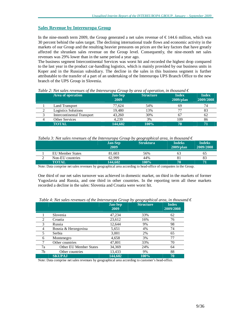#### **Sales Revenue by Intereuropa Group**

In the nine-month term 2009, the Group generated a net sales revenue of  $\epsilon$ 144.6 million, which was 30 percent behind the sales target. The declining international trade flows and economic activity in the markets of our Group and the resulting heavier pressures on prices are the key factors that have greatly affected the shrunken sales revenue on the Group level. Consequently, the nine-month net sales revenues was 29% lower than in the same period a year ago.

The business segment Intercontinental Services was worst hit and recorded the highest drop compared to the last year in the product car-handling logistics, which is mainly provided by our business units in Koper and in the Russian subsidiary. The decline in the sales in this business segment is further attributable to the transfer of a part of an undertaking of the Intereuropa UPS Branch Office to the new branch of the UPS Group in Slovenia.

| Area of operation          | <b>Jan-Sep</b><br>2009 | <b>Structure</b> | <b>Index</b><br>$2009$ /plan | <b>Index</b><br>2009/2008 |
|----------------------------|------------------------|------------------|------------------------------|---------------------------|
| Land Transport             | 77.624                 | 54%              | 69                           | 74                        |
| <b>Logistics Solutions</b> | 19.480                 | 13%              |                              | 83                        |
| Intercontinental Transport | 43,260                 | 30%              | 67                           | 62                        |
| <b>Other Services</b>      | 4.239                  | 3%               | 109                          | 86                        |
| <b>TOTAL</b>               | 144,602                | 100%             |                              | 71                        |

*Table* 2: Net sales revenues of the Intereuropa Group by area of operation, in thousand  $\epsilon$ 

*Tabela* 3: Net sales revenues of the Intereuropa Group by geographical area, in thousand  $\epsilon$ 

|                         | <b>Jan-Sep</b><br>2009 | <b>Struktura</b> | <b>Indeks</b><br>$2009$ /plan | <b>Indeks</b><br>2009/2008 |
|-------------------------|------------------------|------------------|-------------------------------|----------------------------|
| <b>EU Member States</b> | 81,603                 | 56%              |                               | 65                         |
| Non-EU countries        | 62.999                 | 44%              |                               | 83                         |
| <b>TOTAL</b>            | 144,602                | $100\%$          | 70                            | 71                         |

Note: Data comprise net sales revenues by geographical area according to head-office of companies in the Group.

One third of our net sales turnover was achieved in domestic market, on third in the markets of former Yugoslavia and Russia, and one third in other countries. In the reporting term all these markets recorded a decline in the sales: Slovenia and Croatia were worst hit.

|    |                               | <b>Jan-Sep</b><br>2009 | <b>Structure</b> | <b>Index</b><br>2009/2008 |
|----|-------------------------------|------------------------|------------------|---------------------------|
|    | Slovenia                      | 47,234                 | 33%              | 62                        |
|    | Croatia                       | 23,612                 | 16%              | 76                        |
| 3  | Russia                        | 12,644                 | 9%               | 98                        |
|    | Bosnia & Herzegovina          | 5,651                  | 4%               | 74                        |
| 5  | Serbia                        | 3,001                  | 2%               | 65                        |
| 6  | Montenegro                    | 4,658                  | 3%               | 77                        |
|    | Other countries               | 47,801                 | 33%              | 70                        |
| 7a | <b>Other EU Member States</b> | 34,369                 | 24%              | 64                        |
| 7b | Other countries               | 13,433                 | 9%               | 88                        |
|    | <b>SKUPAJ</b>                 | 144.602                | 100%             | 70                        |

*Table* 4: Net sales revenues of the Intereuropa Group by geographical area, in thousand  $\epsilon$ 

Note: Data comprise net sales revenues by geographical area according to customer's head-office.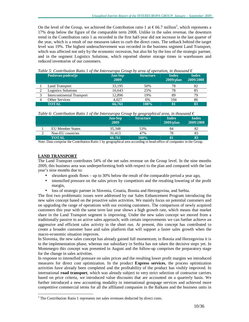On the level of the Group, we achieved the Contribution ratio 1 at  $\epsilon$ 66.7 million<sup>2</sup>, which represents a 17% drop below the figure of the comparable term 2008. Unlike in the sales revenue, the downturn trend in the Contribution ratio 1 as recorded in the first half-year did not increase in the last quarter of the year, which is a result of our measures taken to curb the direct costs. The setback behind the target level was 19%. The highest underachievement was recorded in the business segment Land Transport, which was affected not only by the economic recession, but also hit by the loss of the strategic partner, and in the segment Logistics Solutions, which reported shorter storage times in warehouses and reduced inventories of our customers.

| Poslovno področje          | <b>Jan-Sep</b><br>2009 | <b>Structure</b> | <b>Index</b><br>$2009$ /plan | <b>Index</b><br>2009/2008 |
|----------------------------|------------------------|------------------|------------------------------|---------------------------|
| Land Transport             | 33,195                 | 50%              | 78                           | 82                        |
| <b>Logistics Solutions</b> | 16,643                 | 25%              | 78                           | 85                        |
| Intercontinental Transport | 12.896                 | 19%              | 89                           | 79                        |
| <b>Other Services</b>      | 4.027                  | 6%               | 104                          | 86                        |
| <b>TOTAL</b>               | 66.761                 | 100%             | 81                           | 83                        |

*Table* 5: Contribution Ratio 1 of the Intereuropa Group by area of operation, in thousand  $\epsilon$ 

*Table 6: Contribution Ratio 1 of the Intereuropa Group by geographical area, in thousand €* 

|                         | <b>Jan-Sep</b><br>2009 | .<br><b>Structure</b> | <b>Index</b><br>$2009$ /plan | <b>Index</b><br>2009/2008 |
|-------------------------|------------------------|-----------------------|------------------------------|---------------------------|
| <b>EU</b> Member States | 35.348                 | 53%                   | 84                           | 82                        |
| Non-EU countries        | 31.413                 | 47%                   |                              | 83                        |
| <b>TOTAL</b>            | 66.761                 | 100%                  |                              | 83                        |

Note: Data comprise the Contribution Ratio 1 by geographical area according to head-office of companies in the Group.

#### **LAND TRANSPORT**

The Land Transport contributes 54% of the net sales revenue on the Group level. In the nine months 2009, this business area was underperforming both with respect to the plan and compared with the last year's nine months due to:

- shrunken goods flows up to 30% below the result of the comparable period a year ago,
- intensified pressure on the sales prices by competitors and the resulting lowering of the profit margin,
- loss of strategic partner in Slovenia, Croatia, Bosnia and Herzegovina, and Serbia.

The first two problematic issues were addressed by our Sales Enhancement Program introducing the new sales concept based on the proactive sales activities. We mainly focus on potential customers and on upgrading the range of operations with our existing customers. The comparison of newly acquired customers this year with the same term last year shows a high growth rate, which means that market share in the Land Transport segment is improving. Under the new sales concept we moved from a traditionally passive to an active sales approach; with certain improvements we can further achieve an aggressive and efficient sales activity in the short run. At present, this concept has contributed to create a broader customer base and sales platform that will support a faster sales growth when the macro-economic situation improves.

In Slovenia, the new sales concept has already gained full momentum; in Bosnia and Herzegovina it is in the implementation phase, whereas our subsidiary in Serbia has not taken the decisive steps yet. In Montenegro this concept was presented in August and the follow-up comprises the preparatory stage for the change in sales activities.

In response to intensified pressure on sales prices and the resulting lower profit margins we introduced measures for direct cost optimization. In the product **Express services**, the process optimization activities have already been completed and the profitability of the product has visibly improved. In international **road transport**, which was already subject to very strict selection of contractor carriers based on price criteria, we introduced value discounts that are accounted on a quarterly basis. We further introduced a new accounting modality in international groupage services and achieved more competitive commercial terms for all the affiliated companies in the Balkans and the business units in

<sup>&</sup>lt;sup>2</sup> The Contribution Ratio 1 represents net sales revenues deducted by direct costs.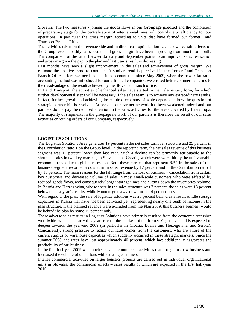Slovenia. The two measures - joining the goods flows in our **Groupage product** and the completion of preparatory stage for the centralization of international lines will contribute to efficiency for our operations, in particular the gross margin according to units that have formed our former Land Transport Branch Office.

The activities taken on the revenue side and in direct cost optimization have shown certain effects on the Group level: monthly sales results and gross margin have been improving from month to month. The comparison of the latter between January and September points to an improved sales realization and gross margin – the gap to the plan and last year's result is decreasing.

Last months have seen a slight improvement in the sales and achievement of gross margin. We estimate the positive trend to continue. A similar trend is perceived in the former Land Transport Branch Office. Here we need to take into account that since May 2009, when the new »flat rate« accounting method was introduced for our affiliated companies, we created better commercial terms to the disadvantage of the result achieved by the Slovenian branch office.

In Land Transport, the activities of enhanced sales have started in their elementary form, for which further developmental steps will be necessary if the sales team is to achieve any extraordinary results. In fact, further growth and achieving the required economy of scale depends on how the question of strategic partnership is resolved. At present, our partner network has been weakened indeed and our partners do not pay the required attention to the sales activities for the areas covered by Intereuropa. The majority of shipments in the groupage network of our partners is therefore the result of our sales activities or routing orders of our Company, respectively.

#### **LOGISTICS SOLUTIONS**

The Logistics Solutions Area generates 19 percent in the net sales turnover structure and 25 percent in the Contribution ratio 1 on the Group level. In the reporting term, the net sales revenue of this business segment was 17 percent lower than last year. Such a decline can be primarily attributable to the shrunken sales in two key markets, in Slovenia and Croatia, which were worst hit by the unfavourable economic trends due to global recession. Both these markets that represent 82% in the sales of this business segment recorded a downturn in sales revenue by 17 percent and in the Contribution ratio 1 by 15 percent. The main reasons for the fall range from the loss of business – cancellation from certain key customers and decreased volume of sales in most small-scale customers who were affected by reduced goods flows, and consequently longer storage times and cutting down the inventories' volume. In Bosnia and Herzegovina, whose share in the sales structure was 7 percent, the sales were 18 percent below the last year's results, while Montenegro saw a downturn of 4 percent only.

With regard to the plan, the sale of logistics solutions was 23 percent behind as a result of idle storage capacities in Russia that have not been activated yet, representing nearly one tenth of income in the plan structure. If the planned revenue were excluded from the Plan 2009, this business segment would be behind the plan by some 15 percent only.

These adverse sales results in Logistics Solutions have primarily resulted from the economic recession worldwide, which has early this year reached the markets of the former Yugoslavia and is expected to deepen towards the year-end 2009 (in particular in Croatia, Bosnia and Herzegovina, and Serbia). Concurrently, strong pressure to reduce our rates comes from the customers, who are aware of the current surplus of warehouse capacities which suddenly occurred in these strategic markets. Since the summer 2008, the rates have lost approximately 40 percent, which fact additionally aggravates the profitability of our business.

In the first half-year 2009 we launched several commercial activities that brought us new business and increased the volume of operations with existing customers.

Intense commercial activities on larger logistics projects are carried out in individual organizational units in Slovenia, the commercial effects – sales results of which are expected in the first half-year 2010.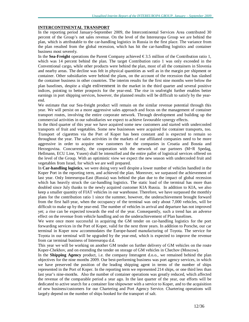#### **INTERCONTINENTAL TRANSPORT**

In the reporting period January-September 2009, the Intercontinental Services Area contributed 30 percent of the Group's net sales revenue. On the level of the Intereuropa Group we are behind the plan, which is attributable to the car-handling logistics in Russia in the first place. The variance from the plan resulted from the global recession, which has hit the car-handling logistics and container business most severely.

In the **Sea-Freight** operations the Parent Company achieved  $\epsilon$ 3.5 million of the Contribution ratio 1, which was 14 percent behind the plan. The target Contribution ratio 1 was only exceeded in the Conventional cargo, while other products were behind the plan, most of all the containers in Slovenia and nearby areas. The decline was felt in physical quantities as well as in the margin per shipment or container. Other subsidiaries were behind the plans, on the account of the recession that has slashed the container business in other countries. The interim results for the first nine months were below the plan baselines, despite a slight enlivenment in the market in the third quarter and several positive indices, pointing to better prospects for the year-end. The rise in seafreight further enables better earnings in port shipping services, however, the planned results will be difficult to satisfy by the yearend.

We estimate that our Sea-freight product will remain on the similar revenue potential through this year. We will persist on a more aggressive sales approach and focus on the management of container transport routes, involving the entire corporate network. Through development and building up the commercial activities in our subsidiaries we expect to achieve favourable synergy effects.

In the third quarter of this year we have acquired some new customers and started with undercooled transports of fruit and vegetables. Some new businesses were acquired for container transports, too. Transport of cigarettes via the Port of Koper has been constant and is expected to remain so throughout the year. The sales activities in the markets of our affiliated companies need to be more aggressive in order to acquire new customers for the companies in Croatia and Bosnia and Herzegovina. Concurrently, the cooperation with the network of our partners (M+R Spedag, Hellmann, ECU Line, Yusen) shall be intensified and the entire pallet of logistical services offered on the level of the Group. With an optimistic view we expect the new season with undercooled fruit and vegetables from Israel, for which we are well prepared.

In **Car-handling logistics**, we were doing very well despite a lower number of vehicles handled in the Koper Port in the reporting term, and achieved the plan. Moreover, we surpassed the achievement of last year. Only Intereuropa-East (Russia) was behind the plan due to the impact of global recession which has heavily struck the car-handling logistics. The static load of the terminal has more than doubled since July thanks to the newly acquired customer KIA Russia. In addition to KIA, we also keep a smaller quantity of FIAT vehicles in our warehouse. Therefore, we have surpassed the monthly plans for the contribution ratio 1 since the summer, however, the underachievement brought forward from the first half-year, when the occupancy of the terminal was only about 7,000 vehicles, will be difficult to make up by the year-end. The number of vehicles in arrival and departure has not improved yet; a rise can be expected towards the end of the year. Consequently, such a trend has an adverse effect on the revenue from vehicle handling and on the underachievement of Plan baselines.

We were once more successful in acquiring the GM tender on car-handling logistics for the port forwarding services in the Port of Koper, valid for the next three years. In addition to Porsche, our car terminal in Koper now accommodates the Europe-based manufacturing of Toyota. The service for Toyota in our terminal will be upgraded by the year-end, which is expected to improve the revenue from car terminal business of Intereuropa d.d.

This year we will be working on another GM tender on further delivery of GM vehicles on the route Koper-Chekhov, and on extending the tender on storage of GM vehicles in Chechov (Moscow).

In the **Shipping Agency** product, i.e. the company Interagent d.o.o., we remained behind the plan objectives for the nine months 2009. Our best-performing business was port agency services, in which we have preserved the position of the leading shipping agent in terms of the number of ships represented in the Port of Koper. In the reporting term we represented 214 ships, or one third less than last year's nine-months. Also the number of container operations was greatly reduced, which affected the revenue of the comparable period a year ago. In the last quarter of the year, our efforts will be dedicated to active search for a container line shipowner with a service to Koper, and to the acquisition of new business/customers for our Chartering and Port Agency Service. Chartering operations will largely depend on the number of ships booked for the transport of salt.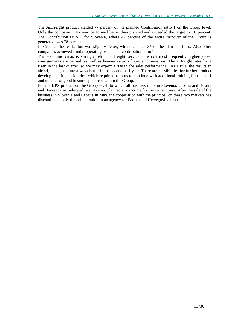The **Airfreight** product yielded 77 percent of the planned Contribution ratio 1 on the Group level. Only the company in Kosovo performed better than planned and exceeded the target by 16 percent. The Contribution ratio 1 for Slovenia, where 42 percent of the entire turnover of the Group is generated, was 78 percent.

In Croatia, the realization was slightly better, with the index 87 of the plan baselines. Also other companies achieved similar operating results and contribution ratio 1.

The economic crisis is strongly felt in airfreight service in which most frequently higher-priced consignments are carried, as well as heavier cargo of special dimensions. The airfreight rates have risen in the last quarter, so we may expect a rise in the sales performance. As a rule, the results in airfreight segment are always better in the second half-year. There are possibilities for further product development in subsidiaries, which requires from us to continue with additional training for the staff and transfer of good business practices within the Group.

For the **UPS** product on the Group level, to which all business units in Slovenia, Croatia and Bosnia and Herzegovina belonged, we have not planned any income for the current year. After the sale of the business in Slovenia and Croatia in May, the cooperation with the principal on these two markets has discontinued, only the collaboration as an agency for Bosnia and Herzegovina has remained.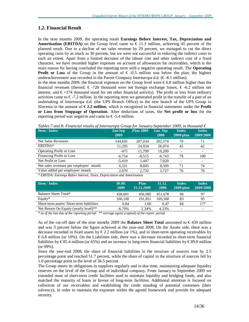## **1.2. Financial Result**

In the nine months 2009, the operating result **Earnings Before Interest, Tax, Depreciation and Amortisation** (**EBITDA**) on the Group level came to  $\in$  11.3 million, achieving 45 percent of the planned result. Due to a decline of net sales revenue by 29 percent, we managed to cut the direct operating costs by as much as 36 percent, but we were not successful in reducing the indirect costs to such an extent. Apart from a limited decrease of the labour cost and other indirect cost of a fixed character, we have recorded higher expenses on account of allowances for receivables, which is the main reason for having concluded the reporting term with a negative operating result. The **Operating Profit or Loss** of the Group in the amount of  $\epsilon$ -0.5 million was below the plan; the highest underachievement was recorded in the Parent Company Intereuropa d.d.  $(\epsilon$ -8.1 million).

In the nine months 2009, the financial expenses on the Group level were  $\epsilon$ 6.8 million higher than the financial revenues (thereof,  $\epsilon$ -728 thousand were net foreign exchange losses,  $\epsilon$ -6.2 million net interest, and  $\epsilon$ +174 thousand stand for net other financial activity). The profit or loss from ordinary activities came to  $\epsilon$ -7.2 million. In the reporting term we generated profit in the transfer of a part of an undertaking of Intereuropa d.d. (the UPS Branch Office) to the new branch of the UPS Group in Slovenia in the amount of **€ 2.2 million**, which is recognized in financial statements under the **Profit or Loss from Stoppage of Operation**. After deduction of taxes, the **Net profit or loss** for the reporting period was negative and came to  $\epsilon$ -5.4 million.

| $\cdot$<br><b>Item / Index</b>         | <b>Jan-Sep</b><br>2009 | . .<br><b>Plan 2009</b> | <b>Jan-Sep</b><br>2008 | <b>Index</b><br>$2009$ /plan | <b>Index</b><br>2009/2008 |
|----------------------------------------|------------------------|-------------------------|------------------------|------------------------------|---------------------------|
| <b>Net Sales Revenues</b>              | 144,602                | 207,034                 | 202,574                | 70                           | 71                        |
| EBITDA*                                | 11,295                 | 24.934                  | 26,974                 | 45                           | 42                        |
| <b>Operating Profit or Loss</b>        | $-475$                 | 11.799                  | 16,209                 |                              |                           |
| Financing Profit or Loss               | $-6,754$               | $-8,515$                | $-6,743$               | 79                           | 100                       |
| Net Profit or Loss                     | $-5,419$               | 1.447                   | 7,020                  |                              |                           |
| Net sales revenues per employee/ month | 6.321                  | 8,845                   | 8,509                  | 71                           | 74                        |
| Value added per employee/ month        | 2.070                  | 2,732                   | 2.727                  | 76                           | 76                        |
|                                        |                        |                         |                        |                              |                           |

*Tables 7 and 8: Financial results of Intereuropa Group for January-September 2009, in thousand €* 

*\* EBITDA: Earnings Before Interest, Taxes, Depreciation and Amortisation* 

| 30.09.<br>2009 | <b>Plan</b><br>31.12.2009 | 31.12.<br>2008 | Index<br>$2009$ /plan    | Index<br>2009/2008       |
|----------------|---------------------------|----------------|--------------------------|--------------------------|
| 438.601        | 456.085                   | 451.678        | 96                       | 97                       |
| 160,100        | 191.851                   | 169.360        | 83                       | 95                       |
| 0.84           | 1.00                      | 0.47           | 84                       | 177                      |
| $-6.70\%$      | 2.34%                     | 4.23%          | $\overline{\phantom{a}}$ | $\overline{\phantom{a}}$ |
|                |                           |                |                          |                          |

*\* as of the last day of the reporting period \*\* average equity (capital) of the report. period* 

As of the cut-off date of the nine months 2009 the **Balance Sheet Total** amounted to € 439 million and was 3 percent below the figure achieved at the year-end 2008. On the Assets side, there was a decrease recorded in fixed assets by  $\epsilon$ 2.2 million (or 1%), and in short-term operating receivables by € 6.8 million (or 10%). On the Liabilities side, there was a decrease recorded in short-term financial liabilities by € 85.4 million (or 65%) and an increase in long-term financial liabilities by € 89.8 million (or 99%).

Since the year-end 2008, the share of financial liabilities in the structure of sources rose by 2.5 percentage point and reached 51.7 percent, while the share of capital in the structure of sources fell by 1.0 percentage point to the level of 36.5 percent.

The Group meets its obligations to suppliers regularly and in due time, maintaining adequate liquidity reserves on the level of the Group and of individual company. From January to September 2009 we extended most of short-term credit facilities used to maintain liquidity and bridging funds, and also matched the maturity of loans in favour of long-term facilities. Additional attention is focused on collection of our receivables and establishing the credit standing of potential customers (their solvency), in order to maintain the exposure within the agreed framework and provide for adequate security.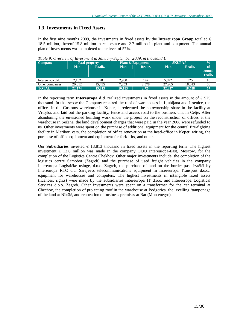## **1.3. Investments in Fixed Assets**

In the first nine months 2009, the investments in fixed assets by the **Intereuropa Group** totalled  $\in$ 18.5 million, thereof 15.8 million in real estate and 2.7 million in plant and equipment. The annual plan of investments was completed to the level of 57%.

| <b>Company</b>   |        | <b>Real property</b> | <b>Plant &amp; Equipment</b> |         | <b>SKUPAJ</b> |         | $\frac{0}{0}$            |
|------------------|--------|----------------------|------------------------------|---------|---------------|---------|--------------------------|
|                  | Plan   | Realiz.              | <b>Plan</b>                  | Realiz. | Plan          | Realiz. | of.<br>annual<br>realiz. |
|                  |        |                      |                              |         |               |         |                          |
| Intereuropa d.d. | 2.162  | 378                  | 2.930                        | 147     | 5.092         | 525     | 10                       |
| Other companies  | 20,012 | 15.435               | 7.253                        | 2.578   | 27.265        | 18.013  | 66                       |
| <b>TOTAL</b>     | 22,174 | 15.813               | 10.183                       | 2.724   | 32,357        | 18.538  | 57                       |

*Table 9: Overview of Investment in January-September 2009, in thousand €* 

In the reporting term **Intereuropa d.d**. realized investments in fixed assets in the amount of  $\epsilon$  525 thousand. In that scope the Company repaired the roof of warehouses in Ljubljana and Jesenice, the offices in the Customs warehouse in Koper, it redeemed the co-ownership share in the facility at Vrtojba, and laid out the parking facility, fence and access road to the business unit in Celje. After abandoning the envisioned building work under the project on the reconstruction of offices at the warehouse in Sežana, the land development charges that were paid in the year 2008 were refunded to us. Other investments were spent on the purchase of additional equipment for the central fire-fighting facility in Maribor, cars, the completion of office renovation at the head-office in Koper, wiring, the purchase of office equipment and equipment for fork-lifts, and other.

Our **Subsidiaries** invested  $\epsilon$  18,813 thousand in fixed assets in the reporting term. The highest investment € 13.6 million was made in the company OOO Intereuropa-East, Moscow, for the completion of the Logistics Centre Chekhov. Other major investments include: the completion of the logistics centre Samobor (Zagreb) and the purchase of used freight vehicles in the company Intereuropa Logističke usluge, d.o.o. Zagreb, the purchase of land on the border pass Izačići by Intereuropa RTC d.d. Sarajevo, telecommunications equipment in Intereuropa Transport d.o.o., equipment for warehouses and computers. The highest investments in intangible fixed assets (licences, rights) were made by the subsidiaries Intereuropa IT d.o.o. and Intereuropa Logistical Services d.o.o. Zagreb. Other investments were spent on a transformer for the car terminal at Chechov, the completion of projecting roof in the warehouse at Podgorica, the levelling /tamponage of the land at Nikšić, and renovation of business premises at Bar (Montenegro).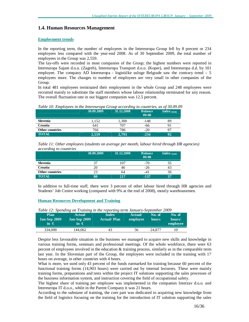## **1.4. Human Resources Management**

#### **Employment trends**

In the reporting term, the number of employees in the Intereuropa Group fell by 8 precent or 234 employees less compared with the year-end 2008. As of 30 September 2009, the total number of employees in the Group was 2,559.

The lay-offs were recorded in most companies of the Group; the highest numbers were reported in Intereuropa Sajam d.o.o. (Zagreb), Intereuropa Transport d.o.o. (Koper), and Intereuropa d.d. by 101 employee. The company AD Intereuropa - logističke usluge Belgrade saw the contrary trend  $-5$ employees more. The changes to number of employees are very small in other companies of the Group.

In total 481 employees terminated their employment in the whole Group and 248 employees were recruited mainly to substitute the staff members whose labour relationship terminated for any reason. The overall fluctuation rate in our biggest companies was 12.5 percent.

*Table 10: Employees in the Intereuropa Group according to countries, as of 30.09.09* 

|                 | 30.09.2009 | 31.12.2008 | <b>Balance</b><br>09-08 | $Index_{09/08}$ |
|-----------------|------------|------------|-------------------------|-----------------|
| Slovenia        | 1.152      | 1.300      | $-148$                  | 89              |
| Croatia         | 641        | 707        | -66                     | 91              |
| Other countries | 766        | 786        | $-20$                   | 97              |
| <b>TOTAL</b>    | 2,559      | 2,793      | $-234$                  | 92              |

*Table 11: Other employees (students on average per month, labour hired through HR agencies) according to countries* 

| $\cdot$                | 30.09.2009 | 31.12.2008 | <b>Balance</b><br>09-08 | Index $_{09/08}$ |
|------------------------|------------|------------|-------------------------|------------------|
| Slovenia               | 37         | 107        | $-70$                   |                  |
| Croatia                | 20         | 46         | $-26$                   |                  |
| <b>Other countries</b> | 23         | 64         | $-4$                    | 36               |
| <b>TOTAL</b>           | 80         | 217        | $-137$                  | 37               |

In addition to full-time staff, there were 3 percent of other labour hired through HR agencies and Students' Job Centre working (compared with 9% at the end of 2008), mostly warehousemen.

#### **Human Resources Development and Training**

| <b>Plan</b><br><b>Jan-Sep 2009</b><br>in $\epsilon$ | <b>Actual</b><br>Jan-Sep 2009<br>$\mathsf{in} \in \mathsf{C}$<br>__ | <b>Index</b><br><b>Actual/Plan</b> | Actual/<br>employee | No. of<br>hours | No. of<br>hours/<br>employee |
|-----------------------------------------------------|---------------------------------------------------------------------|------------------------------------|---------------------|-----------------|------------------------------|
| 334,000                                             | 144.062                                                             | 43                                 | 56                  | 24.877          |                              |

*Table 12: Spending on Training in the reporting term January-September 2009* 

Despite less favourable situation in the business we managed to acquire new skills and knowledge in various training forms, seminars and professional meetings. Of the whole workforce, there were 63 percent of employees involved in the education & training process, similarly as in the comparable term last year. In the Slovenian part of the Group, the employees were included in the training with 17 hours on average, in other countries with 4 hours.

What is more, we used only 43 percent of the funds earmarked for training because 60 percent of the functional training forms (14,903 hours) were carried out by internal lecturers. These were mainly training forms, preparations and tests within the project IT solutions supporting the sales processes of the business information system, and instruction covering the field of occupational safety.

The highest share of training per employee was implemented in the companies Interzav d.o.o. and Intereuropa IT d.o.o., while in the Parent Company it was 21 hours.

According to the substane of training, the core part was dedicated to acquiring new knowledge from the field of logistics focusing on the training for the introduction of IT solution supporting the sales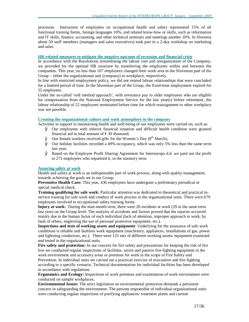processes. Instruction of employees on occupational health and safety represented 15% of all functional training forms, foreign languages 10%, and related know-how or skills, such as information and IT skills, finance, accounting, and other technical seminars and meetings another 10%. In Slovenia about 50 staff members (managers and sales executives) took part in a 2-day workshop on marketing and sales.

#### **HR-related measures to mitigate the negative outcome of recession and financial crisis**

In accordance with the Resolutions streamlining the labour cost and reorganization of the Company, we provided for the optimal HR structure by transferring the employees within and between the companies. This year, no less than 107 employees changed their work area in the Slovenian part of the Group – either the organizational unit (company) or workplace, respectively.

In line with restricted employment policy, we did not extend labour relationships that were concluded for a limited period of time. In the Slovenian part of the Group, the fixed-time employment expired for 55 employees.

Under the so-called 'soft method approach', with severance pay to older employees who are eligible for compensation from the National Employment Service for the last year(s) before retirement, the labour relationship of 22 employees terminated before time for which reassignment to other workplace was not possible.

#### **Creating the organizational culture and work atmosphere in the company**

Activities in support to maintaining health and well-being of our employees were carried on, such as:

- Ø Our employees with inferior financial situation and difficult health condition were granted financial aid in total amount of  $\epsilon$ 30 thousand;
- $\emptyset$  Our female workers received gifts for the Women's Day ( $8<sup>th</sup>$  March);
- Ø Our holiday facilities recorded a 49%-occupancy, which was only 5% less than the same term last year;
- $\emptyset$  Based on the Employee Profit Sharing Agreement for Intereuropa d.d. we paid out the profit to 271 employees who requested it, in the statutory term.

#### **Assuring safety at work**

Health and safety at work is an indispensable part of work process, along with quality management, towards achieving the goals set in our Group.

**Preventive Health Care:** This year, 436 employees have undergone a preliminary periodical or special medical check.

**Training qualifying for safe work:** Particular attention was dedicated to theoretical and practical inservice training for safe work and conduct of work process in the organizational units. There were 679 employees involved in occupational safety training forms.

**Injury at work:** During the nine-month term, there were 20 incidents at work (29 in the same term last year) on the Group level. The analysis of accidents and factors proved that the injuries occurred mainly due to the human factor of each individual (lack of attention, improper approach to work, by fault of others, neglecting the use of personal protective equipment, etc.).

**Inspections and tests of working assets and equipment**: Underlying for the assurance of safe work conditions is reliable and faultless work equipment (machinery, appliances, installations of gas, power and lightning conductors, etc.). There were 125 sets of different working assets/ equipment examined and tested in the organizational units.

**Fire safety and protection:** In our concern for fire safety and precautions for keeping the risk of fire low we conducted regular inspections of facilities, active and passive fire-fighting equipment in the work environment and accessory areas or premises for work in the scope of Fire Safety and Prevention. In individual units we carried out a practical exercise of evacuation and fire-fighting according to a specific scenario. Technical documentation for individual facilities has been developed in accordance with regulations.

**Ergonomics and Ecology:** Inspections of work premises and examination of work environment were conducted on sample workplaces.

**Environmental Issues:** The strict legislation on environmental protection demands a persistent concern in safeguarding the environment. The persons responsible of individual organizational units were conducting regular inspections of purifying appliances/ treatment plants and current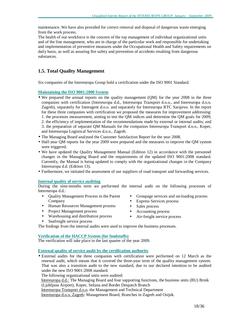maintenance. We have also provided for correct removal and disposal of dangerous waste emerging from the work process.

The health of our workforce is the concern of the top management of individual organizational units and of the line management, who are in charge of the particular work and responsible for undertaking and implementation of preventive measures under the Occupational Health and Safety requirements on daily basis, as well as assuring fire safety and prevention of accidents resulting from dangerous substances.

# **1.5. Total Quality Management**

Six companies of the Intereuropa Group hold a certification under the ISO 9001 Standard.

#### **Maintaining the ISO 9001:2000 System**

- We prepared the annual reports on the quality management (OM) for the year 2008 in the three companies with certification (Intereuropa d.d., Intereuropa Transport d.o.o., and Intereuropa d.o.o. Zagreb), separately for Interagent d.o.o. and separately for Intereuropa RTC Sarajevo. In the report for these three companies with certification we proposed the measures for improvement addressing: 1. the processes measurement, aiming to test the QM indices and determine the QM goals for 2009; 2. the efficiency of implementation of the recommendations made by external or internal audits; and 3. the preparation of separate QM Manuals for the companies Intereuropa Transport d.o.o., Koper, and Intereuropa Logistical Services d.o.o., Zagreb.
- The Managing Board analysed the Customer Satisfaction Report for the year 2008.
- Half-year QM reports for the year 2009 were prepared and the measures to improve the QM system were triggered.
- We have updated the Quality Management Manual (Edition 12) in accordance with the personnel changes in the Managing Board and the requirements of the updated ISO 9001:2008 standard. Currently, the Manual is being updated to comply with the organizational changes in the Company Intereuropa d.d. (Edition 13).
- Furthermore, we initiated the assessment of our suppliers of road transport and forwarding services.

#### **Internal quality of service auditing**

During the nine-months term we performed the internal audit on the following processes of Intereuropa d.d.:

- Quality Management Process in the Parent Company
- Human Resources Management process
- Project Management process
- Warehousing and distribution process
- Seafreight service process
- The findings from the internal audits were used to improve the business processes.

#### **Verification of the HACCP System (for foodstuffs)**

The verification will take place in the last quarter of the year 2009.

#### **External quality of service audit by the certification authority**

• External audits for the three companies with certification were performed on 12 March as the renewal audit, which means that it covered the three-year term of the quality management system. That was also a transition audit to the new standard, due to our declared intention to be audited under the new ISO 9001:2008 standard.

The following organizational units were audited:

Intereuropa d.d.: The Managing Board and four supporting functions, the business units (BU) Brnik (Ljubljana Airport), Koper, Sežana and Border Despatch Branch

Intereuropa Transport d.o.o. the Management and Technical Department

Intereuropa d.o.o. Zagreb: Management Board, Branches in Zagreb and Osijek.

- Groupage services and on-loading process
- Express Services process
- Sales process
- Accounting process
- Air-freight service process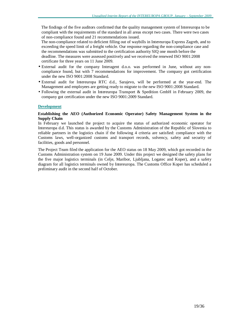The findings of the five auditors confirmed that the quality management system of Intereuropa to be compliant with the requirements of the standard in all areas except two cases. There were two cases of non-compliance found and 21 recommendations issued.

The non-compliance related to deficient filling out of waybills in Intereuropa Express Zagreb, and to exceeding the speed limit of a freight vehicle. Our response regarding the non-compliance case and the recommendations was submitted to the certification authority SIQ one month before the deadline. The measures were assessed positively and we received the renewed ISO 9001:2008 certificate for three years on 11 June 2009.

- External audit for the company Interagent d.o.o. was performed in June, without any noncompliance found, but with 7 recommendations for improvement. The company got certification under the new ISO 9001:2008 Standard.
- External audit for Intereuropa RTC d.d., Sarajevo, will be performed at the year-end. The Management and employees are getting ready to migrate to the new ISO 9001:2008 Standard.
- Following the external audit in Intereuropa Transport & Spedition GmbH in February 2009, the company got certification under the new ISO 9001:2009 Standard.

#### **Development**

#### **Establishing the AEO (Authorized Economic Operator) Safety Management System in the Supply Chain**

In February we launched the project to acquire the status of authorized economic operator for Intereuropa d.d. This status is awarded by the Customs Administration of the Republic of Slovenia to reliable partners in the logistics chain if the following 4 criteria are satisfied: compliance with the Customs laws, well-organized customs and transport records, solvency, safety and security of facilities, goods and personnel.

The Project Team filed the application for the AEO status on 18 May 2009, which got recorded in the Customs Administration system on 19 June 2009. Under this project we designed the safety plans for the five major logistics terminals (in Celje, Maribor, Ljubljana, Logatec and Koper), and a safety diagram for all logistics terminals owned by Intereuropa. The Customs Office Koper has scheduled a preliminary audit in the second half of October.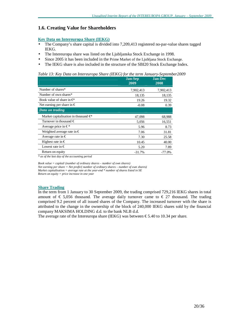## **1.6. Creating Value for Shareholders**

#### **Key Data on Intereuropa Share (IEKG)**

- The Company's share capital is divided into 7,209,413 registered no-par-value shares tagged IEKG.
- The Intereuropa share was listed on the Ljubljanska Stock Exchange in 1998.
- Since 2005 it has been included in the Prime Market of the Ljubljana Stock Exchange.
- The IEKG share is also included in the structure of the SBI20 Stock Exchange Index.

*Table 13: Key Data on Intereuropa Share (IEKG) for the term January-September2009* 

|                                            | <b>Jan-Sep</b><br>2009 | <b>Jan-Dec</b><br>2008 |
|--------------------------------------------|------------------------|------------------------|
| Number of shares*                          | 7,902,413              | 7,902,413              |
| Number of own shares*                      | 18,135                 | 18,135                 |
| Book value of share in $\in$               | 19.26                  | 19.32                  |
| Net earning per share in $\epsilon$        | $-0.08$                | 0.39                   |
| Data on trading                            |                        |                        |
| Market capitalisation in thousand $\oplus$ | 47,098                 | 68,988                 |
| Turnover in thousand $\in$                 | 5,056                  | 16,551                 |
| Average price in $\in^*$                   | 5.96                   | 8.73                   |
| Weighted average rate in $\epsilon$        | 7.06                   | 31.81                  |
| Average rate in $\epsilon$                 | 7.30                   | 25.58                  |
| Highest rate in $\epsilon$                 | 10.45                  | 40.00                  |
| Lowest rate in $\in$                       | 5.20                   | 7.89                   |
| Return on equity                           | $-31.7%$               | $-77.0%$               |

*\* as of the last day of the accounting period* 

*Book value = capital/ (number of ordinary shares – number of own shares)* 

*Net earning per share = Net profit/( number of ordinary shares – number of own shares)* 

*Market capitalisation = average rate at the year-end \* number of shares listed in SE* 

*Return on equity = price increase in one year* 

#### **Share Trading**

In the term from 1 January to 30 September 2009, the trading comprised 729,216 IEKG shares in total amount of  $\epsilon$  5,056 thousand. The average daily turnover came to  $\epsilon$  27 thousand. The trading comprised 9.2 percent of all issued shares of the Company. The increased turnover with the share is attributed to the change in the ownership of the block of 240,000 IEKG shares sold by the financial company MAKSIMA HOLDING d.d. to the bank NLB d.d.

The average rate of the Intereuropa share (IEKG) was between  $\text{\textsterling}5.40$  to 10.34 per share.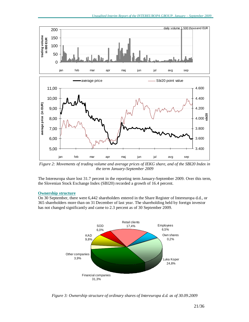

*Figure 2: Movements of trading volume and average prices of IEKG share, and of the SBI20 Index in the term January-September 2009*

The Intereuropa share lost 31.7 percent in the reporting term January-September 2009. Over this term, the Slovenian Stock Exchange Index (SBI20) recorded a growth of 16.4 percent.

#### **Ownership structure**

On 30 September, there were 6,442 shareholders entered in the Share Register of Intereuropa d.d., or 365 shareholders more than on 31 December of last year. The shareholding held by foreign investor has not changed significantly and came to 2.3 percent as of 30 September 2009.



*Figure 3: Ownership structure of ordinary shares of Intereuropa d.d. as of 30.09.2009*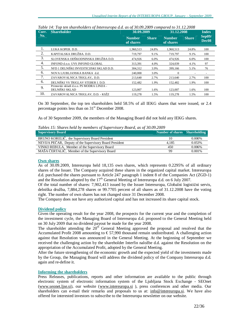| Curr. | <b>Shareholder</b>                                          | 30.09.2009                 |              | 31.12.2008                 |              |                             |  | <b>Index</b> |
|-------|-------------------------------------------------------------|----------------------------|--------------|----------------------------|--------------|-----------------------------|--|--------------|
| No.   |                                                             | <b>Number</b><br>of shares | <b>Share</b> | <b>Number</b><br>of shares | <b>Share</b> | Sep09/<br>Dec <sub>08</sub> |  |              |
| 1.    | LUKA KOPER. D.D.                                            | 1.960.513                  | 24.8%        | 1.960.513                  | 24.8%        | 100                         |  |              |
| 2.    | KAPITALSKA DRUŽBA. D.D.                                     | 719,797                    | 9.1%         | 719,797                    | 9.1%         | 100                         |  |              |
| 3.    | SLOVENSKA ODŠKODNINSKA DRUŽBA D.D.                          | 474,926                    | 6.0%         | 474,926                    | 6.0%         | 100                         |  |              |
| 4.    | INFOND d.o.o. UVS INFOND GLOBAL                             | 313.391                    | 4.0%         | 324,039                    | 4.1%         | 97                          |  |              |
| 5.    | NFD 1 DELNIŠKI INVESTICIJSKI SKLAD D.D.                     | 304,312                    | 3.9%         | 399,166                    | 5.1%         | 76                          |  |              |
| 6.    | NOVA LJUBLJANSKA BANKA d.d.                                 | 240,000                    | 3.0%         | $\Omega$                   |              |                             |  |              |
| 7.    | ZAVAROVALNICA TRIGLAV,. D.D.                                | 213.640                    | 2.7%         | 213.640                    | 2.7%         | 100                         |  |              |
| 6.    | DELNIŠKI VS TRIGLAV STEBER I. D.D.                          | 152,482                    | 1.9%         | 152,482                    | 1.9%         | 100                         |  |              |
| 9.    | Primorski skladi d.o.o. PS MODRA LINIJA -<br>DELNIŠKI SKLAD | 123,007                    | 1.6%         | 123,007                    | 1.6%         | 100                         |  |              |
| 10.   | ZAVAROVALNICA TRIGLAV, D.D. - KSŽZ                          | 119,278                    | 1.5%         | 119.278                    | 1.5%         | 100                         |  |              |

*Table 14: Top ten shareholders of Intereuropa d.d. as of 30.09.2009 compared to 31.12.2008* 

On 30 September, the top ten shareholders held 58.5% of all IEKG shares that were issued, or 2.4 percentage points less than on  $31<sup>st</sup>$  December 2008.

As of 30 September 2009, the members of the Managing Board did not hold any IEKG shares.

*Tables 15: Shares held by members of Supervisory Board, as of 30.09.2009* 

| <b>Supervisory Board</b>                                | Number of shares Shareholding |           |
|---------------------------------------------------------|-------------------------------|-----------|
| BRUNO KORELIČ, the Supervisory Board President          | 10                            | $0.000\%$ |
| NEVIJA PEČAR, Deputy of the Supervisory Board President | 4.185                         | 0.053%    |
| VINKO REBULA, Member of the Supervisory Board           | 450                           | 0.006%    |
| MAŠA ČERTALIČ, Member of the Supervisory Board          | 99                            | $0.001\%$ |

#### **Own shares**

As of 30.09.2009, Intereuropa held 18,135 own shares, which represents 0.2295% of all ordinary shares of the Issuer. The Company acquired these shares in the organized capital market. Intereuropa d.d. purchased the shares pursuant to Article 247 paragraph 1 indent 8 of the Companies Act (ZGD-1) and the Resolution adopted by the  $17<sup>th</sup>$  General Meeting of Intereuropa d.d. on 6 July 2007.

Of the total number of shares: 7,902,413 issued by the Issuer Intereuropa, Globalni logistični servis, delniška družba, 7,884,278 shares or 99.7705 percent of all shares as of 31.12.2008 have the voting right. The number of own shares has not changed since 31 December 2008.

The Company does not have any authorized capital and has not increased its share capital stock.

#### **Dividend policy**

Given the operating result for the year 2008, the prospects for the current year and the completion of the investment cycle, the Managing Board of Intereuropa d.d. proposed to the General Meeting held on 30 July 2009 that no dividend payout be made for the year 2008.

The shareholder attending the  $20<sup>th</sup>$  General Meeting approved the proposal and resolved that the Accumulated Profit 2008 amounting to  $\epsilon$  57,990 thousand remain undistributed. A challenging action against that Resolution was announced in the General Meeting. At the beginning of September we received the challenging action by the shareholder Interfin naložbe d.d. against the Resolution on the appropriation of the Accumulated Profit, adopted by the General Meeting.

After the future strengthening of the economic growth and the expected yield of the investments made by the Group, the Managing Board will address the dividend policy of the Company Intereuropa d.d. again and re-define it.

#### **Informing the shareholders**

Press Releases, publications, reports and other information are available to the public through electronic system of electronic information system of the Ljubljana Stock Exchange - SEOnet [\(www.seonet.ljse.si\)](http://www.seonet.ljse.si), our website ([www.intereuropa.si](http://www.intereuropa.si) ), press conferences and other media. Our shareholders can e-mail their remarks and proposals to us at: [info@intereuropa.si](mailto:info@intereuropa.si). We have also offered for interested investors to subscribe to the Intereuropa newsletter on our website.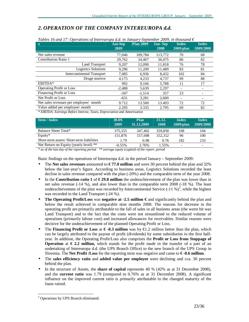# *2. OPERATION OF THE COMPANY INTEREUROPA d.d.*

| Tables 16 and 17: Operations of Intereuropa d.d. in January-September 2009, in thousand $\epsilon$                                                                  |                        |                  |                        |                              |                           |
|---------------------------------------------------------------------------------------------------------------------------------------------------------------------|------------------------|------------------|------------------------|------------------------------|---------------------------|
| $\mathbf{X}$                                                                                                                                                        | <b>Jan-Sep</b><br>2009 | <b>Plan 2009</b> | <b>Jan-Sep</b><br>2008 | <b>Index</b><br>$2009$ /plan | <b>Index</b><br>2009/2008 |
| Net sales revenue                                                                                                                                                   | 77,046                 | 109,784          | 113,772                | 70                           | 68                        |
| Contribution Ratio 1                                                                                                                                                | 29,762                 | 34,467           | 36,475                 | 86                           | 82                        |
| Land Transport                                                                                                                                                      | 9,207                  | 12,090           | 11,818                 | 76                           | 78                        |
| <b>Logistics Solutions</b>                                                                                                                                          | 9,296                  | 11,209           | 11,489                 | 83                           | 81                        |
| <b>Intercontinental Transport</b>                                                                                                                                   | 7.085                  | 6.936            | 8.432                  | 102                          | 84                        |
| Druge storitve                                                                                                                                                      | 4,175                  | 4,233            | 4,737                  | 99                           | 88                        |
| EBITDA*                                                                                                                                                             | 992                    | 9,166            | 5,788                  | 11                           | 17                        |
| <b>Operating Profit or Loss</b>                                                                                                                                     | $-2,488$               | 5,639            | 2,297                  | -                            |                           |
| Financing Profit or Loss                                                                                                                                            | $-347$                 | $-1.514$         | 357                    | 23                           |                           |
| Net Profit or Loss                                                                                                                                                  | $-631$                 | 3,281            | 2,600                  |                              |                           |
| Net sales revenues per employee/ month                                                                                                                              | 9.712                  | 13.560           | 13.493                 | 72                           | 72                        |
| Value added per employee/ month                                                                                                                                     | 2.295                  | 3.335            | 2.795                  | 69                           | 82                        |
| $*$ $E$ <i>DITDA</i> , $E$ <sub><i>curings</i></sub> $P$ <i>g<sub>c</sub></i> ( <i>ne</i> $I$ <i>ptares</i> $T$ <i>cros</i> $P$ <i>envesiation and Amortication</i> |                        |                  |                        |                              |                           |

*\* EBITDA: Earnings Before Interest, Taxes, Depreciation and Amortisation* 

| <b>Item / Index</b>                      | 30.09.<br>2009 | <b>Plan</b><br>31.12.2009 | 31.12.<br>2008 | Index<br>$2009$ /plan | Index<br>2009/2008       |
|------------------------------------------|----------------|---------------------------|----------------|-----------------------|--------------------------|
| Balance Sheet Total*                     | 375,555        | 347,402                   | 359,850        | 108                   | 104                      |
| Equity $*$                               | 151.876        | 157.698                   | 152,312        | 96                    | 100                      |
| Short-term assets/Short-term liabilities | 1.79           | 0.98                      | 0.76           | 182                   | 233                      |
| Net Return on Equity (yearly level) **   | $-0.55\%$      | 2.76%                     | 1.55%          | ۰                     | $\overline{\phantom{a}}$ |

*\* as of the last day of the reporting period \*\* average equity (capital) of the report. period* 

Basic findings on the operations of Intereuropa d.d. in the period January – September 2009:

- The **Net sales revenues** amounted to **€ 77.0 million** and were 30 percent behind the plan and 32% below the last-year's figure. According to business areas, Logistics Solutions recorded the least decline in sales revenue compared with the plan (-20%) and the comparable term of the year 2008.
- In the **Contribution ratio 1** of **€ 29.8 million** the underachievement of the plan was lower than in net sales revenue (-14 %), and also lower than in the comparable term 2008 (-18 %). The least underachievement of the plan was recorded by Intercontinental Service  $(-11\%)^3$ , while the highest was recorded in the Land Transport (-24 %).
- **The Operating Profit/Loss** was **negative at -2.5 million €** and significantly behind the plan and below the result achieved in comparable nine months 2008. The reasons for decrease in the operating profit are primarily attributable to the fall of sales in all business areas (the worst hit was Land Transport) and to the fact that the costs were not streamlined to the reduced volume of operations (primarily labour cost) and increased allowances for receivables. Similar reasons were decisive for the underachievement of the planned Operating Profit or Loss.
- The **Financing Profit or Loss** at  $\epsilon$  **-0.3 million** was by  $\epsilon$ 1.2 million better than the plan, which can be largely attributed to the payout of profit (dividends) by some subsidiaries in the first halfyear. In addition, the Operating Profit/Loss also comprises the **Profit or Loss from Stoppage of Operation** at  $\epsilon$  2.2 million, which stands for the profit made in the transfer of a part of an undertaking of Intereuropa d.d. (the UPS Branch Office) to the new branch of the UPS Group in Slovenia. The **Net Profit /Loss** for the reporting term was negative and came to **€ -0.6 million**.
- The **sales efficiency ratio** and **added value per employee** were declining and cca. 30 percent behind the plan.
- In the structure of Assets, the **share of capital** represents 40 % (42% as at 31 December 2008), and the **current ratio** was 1.79 (compared to 0.76% as at 31 December 2008). A significant influence on the improved current ratio is primarily attributable to the changed maturity of the loans raised.

<sup>-</sup><sup>3</sup> Operations by UPS Branch eliminated.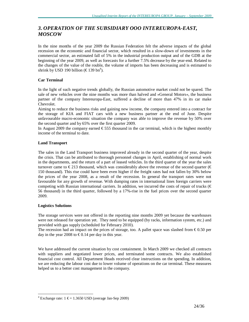# *3. OPERATION OF THE SUBSIDIARY OOO INTEREUROPA-EAST, MOSCOW*

In the nine months of the year 2009 the Russian Federation felt the adverse impacts of the global recession on the economic and financial sector, which resulted in a slow-down of investments in the commercial sector, an estimated fall of 5% in the industrial production output and of the GDB at the beginning of the year 2009, as well as forecasts for a further 7.5% decrease by the year-end. Related to the changes of the value of the rouble, the volume of imports has been decreasing and is estimated to shrink by USD 190 billion ( $\text{\textsterling}139$  bn<sup>4</sup>).

#### **Car Terminal**

In the light of such negative trends globally, the Russian automotive market could not be spared. The sale of new vehicles over the nine months was more than halved and »General Motors«, the business partner of the company Intereuropa-East, suffered a decline of more than 47% in its car make Chevrolet.

Aiming to reduce the business risks and gaining new income, the company entered into a contract for the storage of KIA and FIAT cars with a new business partner at the end of June. Despite unfavourable macro-economic situation the company was able to improve the revenue by 50% over the second quarter and by 65% over the first quarter 2009.

In August 2009 the company earned  $\epsilon$ 555 thousand in the car terminal, which is the highest monthly income of the terminal to date.

#### **Land Transport**

The sales in the Land Transport business improved already in the second quarter of the year, despite the crisis. That can be attributed to thorough personnel changes in April, establishing of normal work in the departments, and the return of a part of leased vehicles. In the third quarter of the year the sales turnover came to  $\epsilon$ 213 thousand, which was considerably above the revenue of the second quarter ( $\epsilon$ 150 thousand). This rise could have been even higher if the freight rates had not fallen by 30% below the prices of the year 2008, as a result of the recession. In general the transport rates were not favourable for any growth of revenue. With dumping rates in international lines foreign carriers were competing with Russian international carriers. In addition, we incurred the costs of repair of trucks ( $\epsilon$ 56 thousand) in the third quarter, followed by a 17%-rise in the fuel prices over the second quarter 2009.

#### **Logistics Solutions**

The storage services were not offered in the reporting nine months 2009 yet because the warehouses were not released for operation yet. They need to be equipped (by racks, information system, etc.) and provided with gas supply (scheduled for February 2010).

The recession had an impact on the prices of storage, too. A pallet space was slashed from  $\epsilon$ 0.50 per day in the year 2008 to  $\epsilon$ 0.14 per day in this year.

We have addressed the current situation by cost containment. In March 2009 we checked all contracts with suppliers and negotiated lower prices, and terminated some contracts. We also established financial cost control. All Department Heads received clear instructions on the spending. In addition, we are reducing the labour cost due to lower volume of operations on the car terminal. These measures helped us to a better cost management in the company.

<sup>-</sup><sup>4</sup> Exchange rate:  $1 \text{ } \in \infty 1.3650$  USD (average Jan-Sep 2009)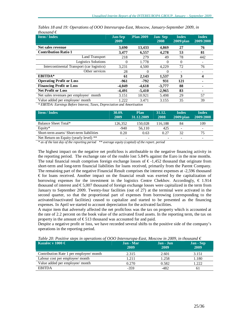| <b>Item / Index</b>                        | <b>Jan-Sep</b><br>2009 | <b>Plan 2009</b> | <b>Jan-Sep</b><br>2008 | <b>Index</b><br>$2009$ /plan | <b>Index</b><br>2009/2008 |
|--------------------------------------------|------------------------|------------------|------------------------|------------------------------|---------------------------|
| Net sales revenue                          | 3.690                  | 13.433           | 4.869                  | 27                           | 76                        |
| <b>Contribution Ratio 1</b>                | 3,477                  | 6,557            | 4,278                  | 53                           | 81                        |
| Land Transport                             | 218                    | 279              | 49                     | 78                           | 442                       |
| Logistics Solutions                        | $\overline{0}$         | 1.778            | 0                      | $\Omega$                     |                           |
| Intercontinental Transport (car logistics) | 3,231                  | 4,500            | 4,229                  | 72                           | 76                        |
| Other services                             | 28                     | 0                | $\theta$               | $\overline{\phantom{0}}$     |                           |
| <b>EBITDA*</b>                             | 61                     | 2.143            | 1.537                  | 3                            | 4                         |
| <b>Operating Profit or Loss</b>            | -961                   | $-792$           | 931                    | 121                          |                           |
| <b>Financing Profit or Loss</b>            | -4.049                 | -4.618           | $-3,777$               | 88                           |                           |
| <b>Net Profit or Loss</b>                  | $-4.491$               | $-5.410$         | $-2,965$               | 83                           |                           |
| Net sales revenues per employee/ month     | 3.151                  | 10.921           | 5.498                  | 29                           | 57                        |
| Value added per employee/ month            | 1.222                  | 3.471            | 3.155                  | 35                           | 39                        |

*Tables 18 and 19: Operations of OOO Intereuropa-East, Moscow, January-September 2009, in thousand €* 

*\* EBITDA: Earnings Before Interest, Taxes, Depreciation and Amortisation* 

| <b>Item / Index</b>                      | 30.09.<br>2009 | <b>Plan</b><br>31.12.2009 | 31.12.<br>2008 | Index<br>$2009$ /plan | <b>Index</b><br>2009/2008 |
|------------------------------------------|----------------|---------------------------|----------------|-----------------------|---------------------------|
| Balance Sheet Total*                     | 126.352        | 150.028                   | 116.188        | 84                    | 109                       |
| Equity $*$                               | -940           | 56.110                    | 425            | ۰                     | -                         |
| Short-term assets/Short-term liabilities | 0.20           | 0.63                      | 0.27           | 32                    | 75                        |
| Net Return on Equity (yearly level) **   | -              | $\overline{\phantom{a}}$  |                | ۰                     | $\overline{\phantom{0}}$  |

*\* as of the last day of the reporting period \*\* average equity (capital) of the report. period*

The highest impact on the negative net profit/loss is attributable to the negative financing activity in the reporting period. The exchange rate of the rouble lost 5.84% against the Euro in the nine months. The total financial result comprises foreign exchange losses of  $\epsilon$ -1,452 thousand that originate from short-term and long-term financial liabilities for loans received, primarily from the Parent Company. The remaining part of the negative Financial Result comprises the interest expenses at -2,596 thousand € for loans received. Another impact on the financial result was exerted by the capitalization of borrowing expenses for the investment in the logistics Centre Chekhov. Accordingly,  $\epsilon$  1.914 thousand of interest and  $\epsilon$ 5,007 thousand of foreign exchange losses were capitalized in the term from January to September 2009. Twenty-four facilities (out of 27) at the terminal were activated in the second quarter, so that the proportional part of expenses from borrowing (corresponding to the activated/inactivated facilities) ceased to capitalize and started to be presented as the financing expenses. In April we started to account depreciation for the activated facilities.

A major item that adversely affected the net profit/loss was the tax on property which is accounted at the rate of 2.2 percent on the book value of the activated fixed assets. In the reporting term, the tax on property in the amount of  $\epsilon$ 513 thousand was accounted for and paid.

Despite a negative profit or loss, we have recorded several shifts to the positive side of the company's operations in the reporting period.

*Table 20: Positive steps in operations of OOO Intereuropa-East, Moscow in 2009, in thousand €* 

| Kazalec v 1000 $\in$                    | <b>Jan</b> - Mar<br>2009<br>___ | Jan - Jun<br>2009 | Jan - Sep<br>2009<br>___ |
|-----------------------------------------|---------------------------------|-------------------|--------------------------|
| Contribution Rate 1 per employee/ month | 2.315                           | 2.601             | 3.151                    |
| Labour cost per employee/ month         | 1.211                           | 1.258             | 1.180                    |
| Value added per employee/ month         | 0.270                           | 0.582             | 1.222                    |
| <b>EBITDA</b>                           | $-359$                          | -482              | 61                       |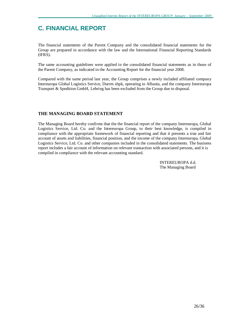# **C. FINANCIAL REPORT**

The financial statements of the Parent Company and the consolidated financial statements for the Group are prepared in accordance with the law and the International Financial Reporting Standards (IFRS).

The same accounting guidelines were applied in the consolidated financial statements as in those of the Parent Company, as indicated in the Accounting Report for the financial year 2008.

Compared with the same period last year, the Group comprises a newly included affiliated company Intereuropa Global Logistics Service, Durres shpk, operating in Albania, and the company Intereuropa Transport & Spedition GmbH, Lebring has been excluded from the Group due to disposal.

#### **THE MANAGING BOARD STATEMENT**

The Managing Board hereby confirms that the the financial report of the company Intereuropa, Global Logistics Service, Ltd. Co. and the Intereuropa Group, to their best knowledge, is compiled in compliance with the appropriate framework of financial reporting and that it presents a true and fair account of assets and liabilities, financial position, and the income of the company Intereuropa, Global Logistics Service, Ltd. Co. and other companies included in the consolidated statements. The business report includes a fair account of information on relevant transaction with associated persons, and it is compiled in compliance with the relevant accounting standard.

> INTEREUROPA d.d. The Managing Board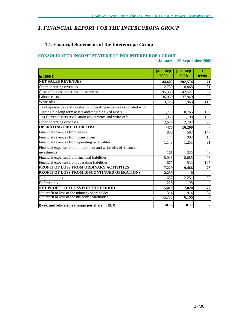# *1. FINANCIAL REPORT FOR THE INTEREUROPA GROUP*

# **1.1. Financial Statements of the Intereuropa Group**

#### **CONSOLIDATED INCOME STATEMENT FOR INTEREUROPA GROUP**

**1 January – 30 September 2009** 

|                                                                    | jan - sep | jan - sep | $\mathbf{I}$ |
|--------------------------------------------------------------------|-----------|-----------|--------------|
| $\mathop{\mathrm{lin}} 1000 \in$                                   | 2009      | 2008      | 09/08        |
| <b>NET SALES REVENUES</b>                                          | 144,602   | 202,574   | 71           |
| Other operating revenues                                           | 2.750     | 8,865     | 31           |
| Costs of goods, materials and services                             | 95,368    | 142,521   | 67           |
| Labour costs                                                       | 36,050    | 37,949    | 95           |
| Write-offs                                                         | 13,725    | 11,963    | 115          |
| a) Depreciation and revaluation operating expenses associated with |           |           |              |
| intangible long-term assets and tangible fixed assets              | 11,770    | 10,765    | 109          |
| b) Current assets revaluation adjustments and write-offs           | 1,955     | 1,198     | 163          |
| Other operating expenses                                           | 2,684     | 2,797     | 96           |
| <b>OPERATING PROFIT OR LOSS</b>                                    | $-475$    | 16,209    |              |
| Financial revenues from stakes                                     | 836       | 567       | 147          |
| Financial revenues from loans given                                | 144       | 992       | 15           |
| Financial revenues from operating receivables                      | 1,143     | 1,251     | 91           |
| Financial expenses from impairment and write-offs of financial     |           |           |              |
| investments                                                        | 161       | 335       | 48           |
| Financial expenses from financial liabilities                      | 8,041     | 8,685     | 93           |
| Financial expenses from operating liabilities                      | 675       | 533       | 127          |
| PROFIT OF LOSS FROM ORDINARY ACTIVITIES                            | $-7,229$  | 9,466     | $-76$        |
| PROFIT OF LOSS FROM DISCONTINUED OPERATIONS                        | 2,239     | $\bf{0}$  |              |
| Corporation tax                                                    | 657       | 2,251     | 29           |
| Deferred tax                                                       | $-228$    | 195       |              |
| NET PROFIT OR LOSS FOR THE PERIOD                                  | $-5,419$  | 7,020     | $-77$        |
| Net profit or loss of the minority shareholdes                     | 314       | 914       | 34           |
| Net profit or loss of the majotity shareholder                     | $-5,733$  | 6,106     |              |
| Basic and adjusted earnings per share in EUR                       | $-0.73$   | 0.77      |              |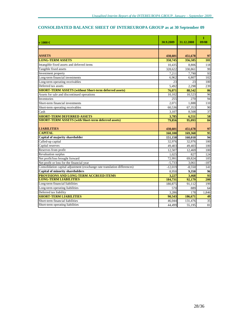# **CONSOLIDATED BALANCE SHEET OF INTEREUROPA GROUP as at 30 September 09**

|                                                                           |           |            | I               |
|---------------------------------------------------------------------------|-----------|------------|-----------------|
| $\mathbf{v}$ 1000 $\in$                                                   | 30.9.2009 | 31.12.2008 | 09/08           |
|                                                                           |           |            |                 |
|                                                                           |           |            |                 |
| <b>ASSETS</b>                                                             | 438,601   | 451,678    | 97              |
| <b>LONG-TERM ASSETS</b>                                                   | 358,745   | 356,585    | 101             |
| Intangible fixed assets and deferred items                                | 10,435    | 8,806      | 118             |
| Tangible fixed assets                                                     | 328,622   | 330,861    | 99              |
| Investment property                                                       | 7.211     | 7,790      | 93              |
| Long-term financial investments                                           | 6.962     | 6.807      | 102             |
| Long-term operating receivables                                           | 23        | 23         | 100             |
| Deferred tax assets                                                       | 5.492     | 2.298      | 239             |
| <b>SHORT-TERM ASSETS (without Short-term deferred assets)</b>             | 76,071    | 88,542     | 86              |
| Assets for sale and discontinued operations                               | 10,102    | 10,523     | 96              |
| Inventories                                                               | 255       | 270        | 94              |
| Short-term financial investments                                          | 2.071     | 1,888      | 110             |
| Short-term operating receivables                                          | 60,536    | 67,353     | 90              |
| Cash                                                                      | 3,107     | 8,508      | 37              |
| <b>SHORT-TERM DEFERRED ASSETS</b>                                         | 3,785     | 6,551      | 58              |
| <b>SHORT-TERM ASSETS (with Short-term deferred assets)</b>                | 79,856    | 95,093     | 84              |
| <b>LIABILITIES</b>                                                        | 438,601   | 451,678    | 97              |
| <b>CAPITAL</b>                                                            | 160,100   | 169,360    | 95              |
| Capital of majority shareholder                                           | 151,150   | 160,010    | 94              |
| Called-up capital                                                         | 32.976    | 32.976     | 100             |
| Capital reserves                                                          | 49,403    | 49,403     | 100             |
| Reserves from profit                                                      | 12,507    | 12,469     | 100             |
| Revaluation surplus                                                       | 1.025     | 827        | 124             |
| Net profit/loss brought forward                                           | 72,991    | 69,824     | 105             |
| Net profit or loss for the financial year                                 | $-5.733$  | 3.061      | $-187$          |
| Consolidation capital adjustment (exschange rate translation differences) | $-12,019$ | $-8,550$   | 141             |
| <b>Capital of minority shareholders</b>                                   | 8,950     | 9.350      | 96              |
| PROVISIONS AND LONG-TERM ACCRUED ITEMS                                    | 3,227     | 3,468      | 93              |
| <b>LONG-TERM LIABILITIES</b>                                              | 184,731   | 92,179     | 200             |
| Long-term financial liabilities                                           | 180,875   | 91,112     | 199             |
| Long-term operating liabilities                                           | 570       | 889        | 64              |
| Deferred tax liability                                                    | 3,286     | 178        | 1,846           |
| <b>SHORT-TERM LIABILITIES</b>                                             | 90,543    | 186,671    | 49              |
| Short-term financial liabilities                                          | 46,044    | 131,476    | $\overline{35}$ |
| Short-term operating liabilities                                          | 44,499    | 55,195     | 81              |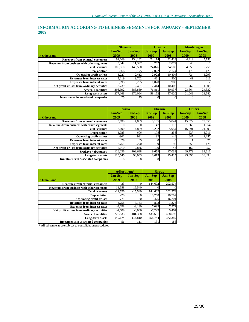## **INFORMATION ACCORDING TO BUSINESS SEGMENTS FOR JANUARY - SEPTEMBER 2009**

|                                                                  | <b>Slovenia</b> |                | Croatia        |                | <b>Montenegro</b> |                |
|------------------------------------------------------------------|-----------------|----------------|----------------|----------------|-------------------|----------------|
|                                                                  | <b>Jan-Sep</b>  | <b>Jan-Sep</b> | <b>Jan-Sep</b> | <b>Jan-Sep</b> | <b>Jan-Sep</b>    | <b>Jan-Sep</b> |
| $\mathop{\mathsf{lin}} \in \mathop{\mathsf{th} \textbf{ousand}}$ | 2009            | 2008           | 2009           | 2008           | 2009              | 2008           |
| <b>Revenues from external customers</b>                          | 91.169          | 134.132        | 24.114         | 32,424         | 4.919             | 5,758          |
| Revenues from business with other segments                       | 9,342           | 11,397         | 762            | 2.077          | 40                | 0              |
| <b>Total revenues</b>                                            | 100.510         | 145,530        | 24.876         | 34,500         | 4,959             | 5,758          |
| <b>Depreciation</b>                                              | 6,166           | 6,175          | 2,022          | 2.174          | 476               | 473            |
| <b>Operating profit or loss</b>                                  | $-3,227$        | 2.412          | 2.922          | 10.404         | 724               | 1,293          |
| <b>Revenues from interest rates</b>                              | 5,119           | 3.702          | 461            | 500            | 41                | 216            |
| <b>Expenses from interest rates</b>                              | 5,995           | 6,265          | 1,020          | 989            |                   |                |
| Net profit or loss from ordinary activities                      | $-3.739$        | 2,431          | 2.414          | 10,402         | 762               | 1,508          |
| <b>Assets / Liabilities</b>                                      | 398,992         | 383,839        | 76,811         | 80,937         | 23.664            | 24,832         |
| Long-term assets                                                 | 277.163         | 270,064        | 58,152         | 57.620         | 21,049            | 21,542         |
| <b>Investments in associated companies</b>                       | 75              | 75             |                |                |                   |                |

|                                                                  | <b>Russia</b>  |                | <b>Ukraine</b> |                | <b>Others</b>  |                |
|------------------------------------------------------------------|----------------|----------------|----------------|----------------|----------------|----------------|
|                                                                  | <b>Jan-Sep</b> | <b>Jan-Sep</b> | <b>Jan-Sep</b> | <b>Jan-Sep</b> | <b>Jan-Sep</b> | <b>Jan-Sep</b> |
| $\mathop{\mathsf{lin}} \in \mathop{\mathsf{th} \textbf{ousand}}$ | 2009           | 2008           | 2009           | 2008           | 2009           | 2008           |
| <b>Revenues from external customers</b>                          | 3,690          | 4,869          | 5,155          | 5,841          | 15,522         | 19,550         |
| Revenues from business with other segments                       |                |                | 47             | 112            | 1.368          | 1,954          |
| <b>Total revenues</b>                                            | 3,690          | 4,869          | 5,202          | 5,954          | 16,891         | 21,503         |
| <b>Depreciation</b>                                              | 1,023          | 606            | 175            | 258            | 927            | 1.016          |
| <b>Operating profit or loss</b>                                  | $-961$         | 931            | 192            | $-46$          | 647            | 1,257          |
| <b>Revenues from interest rates</b>                              | 29             | 65             | O              |                |                | 25             |
| <b>Expenses from interest rates</b>                              | 2,751          | 3,270          | 99             | 98             | 253            | 478            |
| Net profit or loss from ordinary activities                      | $-5,010$       | $-2,846$       | $-109$         | 46             | 162            | 957            |
| Sredstva / obveznosti                                            | 126,236        | 109,698        | 9,659          | 17,033         | 29,773         | 33,616         |
| Long-term assets                                                 | 110,545        | 98.033         | 8.613          | 15.415         | 23.896         | 26,494         |
| <b>Investments in associated companies</b>                       |                |                |                |                |                | $\vert$ 0      |

|                                             | Adjustment*    |                | <b>Group</b>   |                |  |
|---------------------------------------------|----------------|----------------|----------------|----------------|--|
|                                             | <b>Jan-Sep</b> | <b>Jan-Sep</b> | <b>Jan-Sep</b> | <b>Jan-Sep</b> |  |
| in $\epsilon$ thousand                      | 2009           | 2008           | 2009           | 2008           |  |
| <b>Revenues from external customers</b>     | 33             |                | 144,602        | 202,574        |  |
| Revenues from business with other segments  | $-11,558$      | $-15,540$      |                | $\Omega$       |  |
| <b>Total revenues</b>                       | $-11,526$      | $-15,540$      | 144.602        | 202,574        |  |
| <b>Depreciation</b>                         | $-20$          |                | 10.768         | 10,702         |  |
| <b>Operating profit or loss</b>             | $-771$         | $-50$          | $-475$         | 16,201         |  |
| <b>Revenues from interest rates</b>         | $-4,758$       | $-3,133$       | 893            | 1,376          |  |
| <b>Expenses from interest rates</b>         | $-3,028$       | $-3,130$       | 7,093          | 7,971          |  |
| Net profit or loss from ordinary activities | $-1,709$       | $-3.036$       | $-7.229$       | 9,461          |  |
| <b>Assets / Liabilities</b>                 | $-226.533$     | $-181,358$     | 438.601        | 468,598        |  |
| Long-term assets                            | $-140,674$     | $-116,810$     | 358,744        | 372,359        |  |
| <b>Investments in associated companies</b>  | 56             | 111            | 131            | 186            |  |

\* All adjustments are subject to consolidation procedures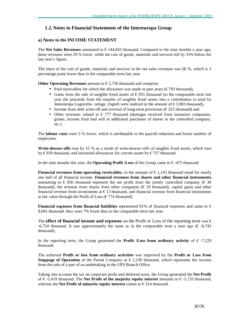## **1.2. Notes to Financial Statements of the Intereuropa Group**

#### **a) Notes to the INCOME STATEMENT**

The **Net Sales Revenues** amounted to  $\epsilon$  144,602 thousand. Compared to the nine months a year ago, these revenues were 29 % lower, while the cost of goods, materials and services fell by 33% below the last year's figure.

The share of the cost of goods, materials and services in the net sales revenues was 66 %, which is 3 percentage point lower than in the comparable term last year.

**Other Operating Revenues** amount to  $\epsilon$ 2,750 thousand and comprise:

- Paid receivables for which the allowance was made in past years ( $\epsilon$ 793 thousand),
- Gains from the sale of tangible fixed assets of  $\epsilon$ 955 thousand (in the comparable term last year the proceeds from the transfer of tangible fixed assets into a contribution in kind by Intereuropa Logističke usluge, Zagreb were realized in the amount of € 5,983 thousand),
- Income from debt write-off and reversal of long-term provisions ( $\epsilon$ 225 thousand) and
- Other revenues valued at  $\epsilon$  777 thousand (damages received from insurance companies, grants, income from bad will in additional purchases of shares in the controlled company, etc.).

The **labour costs** were 5 % lower, which is attributable to the payroll reduction and lower number of employees.

**Write-downs/-offs** rose by 15 % as a result of write-downs/-offs of tangible fixed assets, which rose by  $\text{\textsterling}939$  thousand, and increased allowances for current assets by  $\text{\textsterling}757$  thousand.

In the nine months this year, the **Operating Profit** */Loss* of the Group came to  $€$ -475 thousand.

**Financial revenues from operating receivables,** in the amount of  $\epsilon$  1,143 thousand stand for nearly one half of all financial income. **Financial revenues from shares and other financial instruments**  amounting to  $\epsilon$  836 thousand represent the net profit from the jointly controlled company ( $\epsilon$  30 thousand), the revenue from shares from other companies ( $\epsilon$ 19 thousand), capital gains and other financial revenue from investments at  $\epsilon$ 13 thousand, and financial revenue from financial instruments at fair value through the Profit of Loss ( $\epsilon$ 774 thousand).

**Financial expenses from <b>financial liabilities** represented 81% of financial expenses and came to  $\epsilon$ 8,041 thousand: they were 7% lower than in the comparable term last year.

The **effect of financial income and expenses** on the Profit or Loss of the reporting term was  $\in$ -6,754 thousand. It was approximately the same as in the comparable term a year ago ( $\epsilon$ -6,743 thousand).

In the reporting term, the Group generated the **Profit /Loss from ordinary activity** of € -7,229 thousand.

The achieved **Profit or loss from ordinary activities** was improved by the **Profit or Loss from Stoppage of Operation** of the Parent Company at  $\epsilon$  2.239 thousand, which represents the income from the sale of a part of an undertaking in the UPS Branch Office.

Taking into account the tax on corporate profit and deferred taxes, the Group generated the **Net Profit** of € -5,419 thousand. The **Net Profit of the majority equity interest** amounts to € -5,733 thousand, whereas the **Net Profit of minority equity interest** comes to € 314 thousand.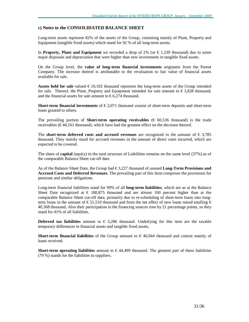#### **c) Notes to the CONSOLIDATED BALANCE SHEET**

Long-term assets represent 82% of the assets of the Group, consisting mainly of Plant, Property and Equipment (tangible fixed assets) which stand for 92 % of all long-term assets.

In **Property, Plant and Equipment** we recorded a drop of 2% (or € 1,239 thousand) due to some major disposals and depreciation that were higher than new investments in tangible fixed assets.

On the Group level, the **value of long-term financial investments** originates from the Parent Company. The increase thereof is attributable to the revaluation to fair value of financial assets available for sale.

**Assets held for sale** valued  $\epsilon$  10,102 thousand represent the long-term assets of the Group intended for sale. Thereof, the Plant, Property and Equipment intended for sale amount to  $\epsilon$ 3,828 thousand, and the financial assets for sale amount to  $\epsilon$ 6.274 thousand.

**Short-term <b>financial investments** of  $\epsilon$ 2,071 thousand consist of short-term deposits and short-term loans granted to others.

The prevailing portion of **Short-term operating receivables** ( $\epsilon$  60,536 thousand) is the trade receivables ( $€44,161$  thousand), which have had the greatest effect on the decrease thereof.

The **short-term** deferred costs and accrued revenues are recognised in the amount of  $\epsilon$  3,785 thousand. They mainly stand for accrued revenues in the amount of direct costs incurred, which are expected to be covered.

The share of **capital** (equity) in the total structure of Liabilities remains on the same level (37%) as of the comparable Balance Sheet cut-off date.

As of the Balance Sheet Date, the Group had  $\epsilon$ 3,227 thousand of unused **Long-Term Provisions and Accrued Costs and Deferred Revenues**. The prevailing part of this Item comprises the provisions for pensions and similar obligations.

Long-term financial liabilities stand for 99% of all **long-term liabilities**, which are as at the Balance Sheet Date recognized at  $\epsilon$  180,875 thousand and are almost 100 percent higher than at the comparable Balance Sheet cut-off date, primarily due to re-scheduling of short-term loans into longterm loans in the amount of  $\epsilon$ 51,510 thousand and from the net effect of new loans raised totalling  $\epsilon$ 40,368 thousand. Also their participation in the financing sources rose by 21 percentage points, so they stand for 41% of all liabilities.

**Deferred tax liabilities** amount to  $\epsilon$  3,286 thousand. Underlying for this item are the taxable temporary differences in financial assets and tangible fixed assets.

**Short-term financial liabilities** of the Group amount to € 46,044 thousand and consist mainly of loans received.

**Short-term operating liabilities** amount to  $\in$  44,499 thousand. The greatest part of these liabilities (79 %) stands for the liabilities to suppliers.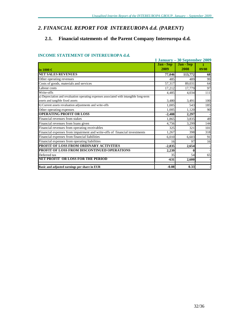# *2. FINANCIAL REPORT FOR INTEREUROPA d.d. (PARENT)*

# **2.1. Financial statements of the Parent Company Intereuropa d.d.**

#### **INCOME STATEMENT OF INTEREUROPA d.d.**

|                                                                                         | 1 January – 30 September 2009 |           |       |
|-----------------------------------------------------------------------------------------|-------------------------------|-----------|-------|
|                                                                                         | <b>Jan</b> - Sep              | Jan - Sep |       |
| lin 1000 €                                                                              | 2009                          | 2008      | 09/08 |
| <b>NET SALES REVENUES</b>                                                               | 77,046                        | 113,772   | 68    |
| Other operating revenues                                                                | 485                           | 489       | 99    |
| Costs of goods, materials and services                                                  | 57,317                        | 89.031    | 64    |
| Labour costs                                                                            | 17,212                        | 17,779    | 97    |
| Write-offs                                                                              | 4,485                         | 4,034     | 111   |
| a) Depreciation and revaluation operating expenses associated with intangible long-term |                               |           |       |
| assets and tangible fixed assets                                                        | 3,480                         | 3,491     | 100   |
| b) Current assets revaluation adjustments and write-offs                                | 1,005                         | 543       | 185   |
| Other operating expenses                                                                | 1,005                         | 1,120     | 90    |
| <b>OPERATING PROFIT OR LOSS</b>                                                         | $-2,488$                      | 2,297     |       |
| Financial revenues from stakes                                                          | 1,865                         | 3,835     | 49    |
| Financial revenues from loans given                                                     | 4,756                         | 3,299     | 144   |
| Financial revenues from operating receivables                                           | 325                           | 321       | 101   |
| Financial expenses from impairment and write-offs of financial investments              | 1,267                         | 398       | 318   |
| Financial expenses from financial liabilities                                           | 6,010                         | 6,603     | 91    |
| Financial expenses from operating liabilities                                           | 16                            | 97        | 16    |
| PROFIT OF LOSS FROM ORDINARY ACTIVITIES                                                 | $-2,835$                      | 2,654     |       |
| PROFIT OF LOSS FROM DISCONTINUED OPERATIONS                                             | 2,239                         | 0         |       |
| Deferred tax                                                                            | 35                            | 54        | 65    |
| <b>NET PROFIT OR LOSS FOR THE PERIOD</b>                                                | $-631$                        | 2,600     |       |
| Basic and adjusted earnings per share in EUR                                            | $-0.08$                       | 0.33      |       |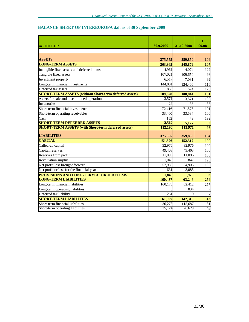# **BALANCE SHEET OF INTEREUROPA d.d. as of 30 September 2009**

| in 1000 EUR                                                   | 30.9.2009 | 31.12.2008 | т<br>09/08 |
|---------------------------------------------------------------|-----------|------------|------------|
|                                                               |           |            |            |
| <b>ASSETS</b>                                                 | 375,555   | 359,850    | 104        |
| <b>LONG-TERM ASSETS</b>                                       | 263,365   | 245,879    | 107        |
| Intangible fixed assets and deferred items                    | 4,961     | 4,074      | 122        |
| Tangible fixed assets                                         | 107,021   | 109,650    | 98         |
| Investment property                                           | 6,517     | 7,081      | 92         |
| Long-term financial investments                               | 144,001   | 124,400    | 116        |
| Deferred tax assets                                           | 865       | 674        | 128        |
| <b>SHORT-TERM ASSETS (without Short-term deferred assets)</b> | 109,628   | 108,844    | 101        |
| Assets for sale and discontinued operations                   | 3,571     | 3,571      | 100        |
| <b>Inventories</b>                                            | 29        | 35         | 83         |
| Short-term financial investments                              | 72,416    | 71,575     | 101        |
| Short-term operating receivables                              | 33,460    | 33,584     | 100        |
| Cash                                                          | 152       | 79         | 192        |
| <b>SHORT-TERM DEFERRED ASSETS</b>                             | 2,562     | 5,127      | 50         |
| <b>SHORT-TERM ASSETS (with Short-term deferred assets)</b>    | 112,190   | 113,971    | 98         |
| <b>LIABILITIES</b>                                            | 375,555   | 359,850    | 104        |
| <b>CAPITAL</b>                                                | 151,876   | 152,312    | 100        |
| Called-up capital                                             | 32,976    | 32,976     | 100        |
| Capital reserves                                              | 49,403    | 49,403     | 100        |
| Reserves from profit                                          | 11,096    | 11,096     | 100        |
| <b>Revaluation surplus</b>                                    | 1,043     | 847        | 123        |
| Net profit/loss brought forward                               | 57,989    | 54,905     | 106        |
| Net profit or loss for the financial year                     | $-631$    | 3,085      |            |
| PROVISIONS AND LONG-TERM ACCRUED ITEMS                        | 1,845     | 1,976      | 93         |
| <b>LONG-TERM LIABILITIES</b>                                  | 160,437   | 63,246     | 254        |
| Long-term financial liabilities                               | 160, 176  | 62,412     | 257        |
| Long-term operating liabilities                               | $\Omega$  | 834        |            |
| Deferred tax liability                                        | 261       | $\Omega$   |            |
| <b>SHORT-TERM LIABILITIES</b>                                 | 61,397    | 142,316    | 43         |
| Short-term financial liabilities                              | 36,273    | 115,687    | 31         |
| Short-term operating liabilities                              | 25,124    | 26,629     | 94         |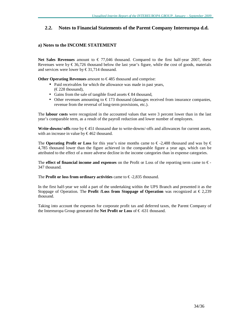## **2.2. Notes to Financial Statements of the Parent Company Intereuropa d.d.**

#### **a) Notes to the INCOME STATEMENT**

**Net Sales Revenues** amount to  $\in 77,046$  thousand. Compared to the first half-year 2007, these Revenues were by  $\epsilon$ 36,726 thousand below the last year's figure, while the cost of goods, materials and services were lower by  $\text{\textsterling}31,714$  thousand.

**Other Operating Revenues** amount to €485 thousand and comprise:

- Paid receivables for which the allowance was made in past years,  $(\text{\textsterling}228$  thousand),
- Gains from the sale of tangible fixed assets € 84 thousand,
- Other revenues amounting to  $\epsilon$ 173 thousand (damages received from insurance companies, revenue from the reversal of long-term provisions, etc.).

The **labour costs** were recognized in the accounted values that were 3 percent lower than in the last year's comparable term, as a result of the payroll reduction and lower number of employees.

**Write-downs/-offs** rose by € 451 thousand due to write-downs/-offs and allowances for current assets, with an increase in value by  $\text{\textsterling}462$  thousand.

The **Operating Profit or Loss** for this year's nine months came to  $\epsilon$ -2,488 thousand and was by  $\epsilon$ 4,785 thousand lower than the figure achieved in the comparable figure a year ago, which can be attributed to the effect of a more adverse decline in the income categories than in expense categories.

The **effect** of **financial income and expenses** on the Profit or Loss of the reporting term came to  $\epsilon$ -347 thousand.

The **Profit** or loss from ordinary activities came to  $\epsilon$ -2,835 thousand.

In the first half-year we sold a part of the undertaking within the UPS Branch and presented it as the Stoppage of Operation. The **Profit** */Loss* **from Stoppage of Operation** was recognized at  $\epsilon$  2,239 thousand.

Taking into account the expenses for corporate profit tax and deferred taxes, the Parent Company of the Intereuropa Group generated the **Net Profit or Loss** of € -631 thousand.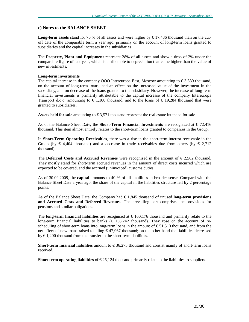#### **c) Notes to the BALANCE SHEET**

**Long-term assets** stand for 70 % of all assets and were higher by  $\epsilon$  17,486 thousand than on the cutoff date of the comparable term a year ago, primarily on the account of long-term loans granted to subsidiaries and the capital increases in the subsidiaries.

The **Property, Plant and Equipment** represent 28% of all assets and show a drop of 2% under the comparable figure of last year, which is attributable to depreciation that came higher than the value of new investments.

#### **Long-term investments**

The capital increase in the company OOO Intereuropa East, Moscow amounting to  $\epsilon$ 3,330 thousand, on the account of long-term loans, had an effect on the increased value of the investment in the subsidiary, and on decrease of the loans granted to the subsidiary. However, the increase of long-term financial investments is primarily attributable to the capital increase of the company Intereuropa Transport d.o.o. amounting to  $\in$  1,100 thousand, and to the loans of  $\in$  19,284 thousand that were granted to subsidiaries.

**Assets held for sale** amounting to  $\epsilon$ 3,571 thousand represent the real estate intended for sale.

As of the Balance Sheet Date, the **Short-Term Financial Investments** are recognized at € 72,416 thousand. This item almost entirely relates to the short-term loans granted to companies in the Group.

In **Short-Term Operating Receivables**, there was a rise in the short-term interest receivable in the Group (by  $\in 4,404$  thousand) and a decrease in trade receivables due from others (by  $\in 2,712$ ) thousand).

The **Deferred Costs and Accrued Revenues** were recognised in the amount of  $\epsilon$ 2,562 thousand. They mostly stand for short-term accrued revenues in the amount of direct costs incurred which are expected to be covered, and the accrued (uninvoiced) customs duties.

As of 30.09.2009, the **capital** amounts to 40 % of all liabilities in broader sense. Compard with the Balance Sheet Date a year ago, the share of the capital in the liabilities structure fell by 2 percentage points.

As of the Balance Sheet Date, the Company had € 1,845 thousand of unused **long-term provisions and Accrued Costs and Deferred Revenues**. The prevailing part comprises the provisions for pensions and similar obligations.

The **long-term financial liabilities** are recognised at € 160,176 thousand and primarily relate to the long-term financial liabilities to banks (€ 158,242 thousand). They rose on the account of rescheduling of short-term loans into long-term loans in the amount of  $\epsilon$ 51,510 thousand, and from the net effect of new loans raised totalling € 47,967 thousand; on the other hand the liabilities decreased by  $\text{\textsterling}1,200$  thousand from the transfer to the short-term liabilities.

**Short-term financial liabilities** amount to  $\epsilon$ 36,273 thousand and consist mainly of short-term loans received.

**Short-term operating liabilities** of  $\epsilon$  25,124 thousand primarily relate to the liabilities to suppliers.